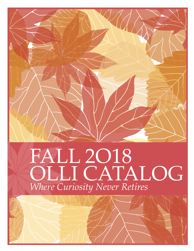# FALL 2O18 OLLI CATALOG *Where Curiosity Never Retires*

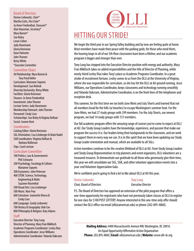#### Board of Directors

Denise Liebowitz, *Chair*\* Martha Cutts, *Vice Chair*\* Jo Anne Friedenthal, *Treasurer*\* Alan Hausman, *Secretary*\* Myra Barron\* Sue Boley Lewis Cohen Judy Havemann Gloria Kreisman Dave Palmeter John Thorner Betsy White \**Executive Committee*

#### Committee Chairs

AU Relationship: Myra Barron & Tina Fried Heller Curriculum: Marianne Soponis Development: Sue Rolnick Diversity/Inclusivity: Betsy White Facilities: Gloria Kreisman Finance: Jo Anne Friedenthal Investment: John Thorner Lecture Series: Judy Havemann Membership Outreach: John Thorner Personnel: Cindy Lisec Scholarships: Sue Boley & Virginia DeRoze Social: Jeanne Kent

#### **Coordinators**

Catalog Editor: Gloria Kreisman SGL Orientation: Lisa Leinberger & Mark Nadel SGR Coordinators: Virginia DeRoze & Barbara Rollinson

### Trips: Carol Levison

Curriculum Committee

100 Politics, Law & Government: Phil Schwartz 200 Psychology, Sociology & Culture: Marianne Soponis 300 Economics: John Peterson 400 STEM: Science, Technology, Engineering & Math: Suzanne Rosenthal 500 Visual Arts: Lisa Leinberger 500 Music: Alan Frey 600 Literature: Jeannette Rivera & Cindy Lisec 600 Language: Sandy Leibowitz 700 History & Geography: Bob Coe 800 Philosophy & Religion: Katy Adams

#### **Staff**

**PB**  $\mathbf{B}$  is the particular of the particular control  $\mathbf{B}$  is the particular of the particular control  $\mathbf{B}$ 

Executive Director: Tony Long Director of Planning: Mary Fran Miklitsch Academic Programs Coordinator: Lesley Diaz Operations Coordinator: Jesse Williams Administrative Coordinator: Yolanda Oakcrum



## HITTING OUR STRIDE!

We begin the third year in our Spring Valley building and by now are feeling quite at home. Most members have made their peace with the parking gods; for those who need them, the hearing loops in all of our 5th floor classrooms have been a lifeline; and our academic program is bigger and stronger than ever.

Tony Long has stepped into the Executive Director position with energy and authority. Mary Fran Miklitsch takes on added responsibilities and the title of Director of Planning, while newly-hired Lesley Diaz takes Tony's place as Academic Programs Coordinator. In a great stroke of recruitment fortune, Lesley comes to us from the OLLI at the University of Virginia, where she was responsible for curriculum, so she has hit the OLLI at AU ground running. Jesse Williams, our Operations Coordinator, keeps classrooms and technology running smoothly and Yolanda Oakcrum, Administrative Coordinator, is on the front lines of the telephones and reception desk.

This summer, for the first time we ran both June Minis and July Shorts and learned that not all members head for the hills (or beaches) to escape Washington's summer heat. For the June Minis, we had 27 study groups with 299 members. For the July Shorts, our newest program, we had 14 study groups with 151 members.

Our fall academic program offers the amazing range of courses you've come to expect at OLLI at AU. Our Study Group Leaders have the knowledge, experience, and passion that make our program the success it is. Our leaders bring their backgrounds to the classroom, and we work to support them in every way we can. It is in this spirit that we have been updating our Study Group Leader orientation and manual, which are available to all SGLs.

Active members continue to be the creative lifeblood of OLLI at AU. From Study Group Leaders and Study Group Representatives to trip planners and event organizers, OLLI volunteers are a treasured resource. To demonstrate our gratitude to all those who generously give their time, this year we will consolidate our SGL, SGR, and other volunteer appreciation events into a year-end Volunteer Appreciation Gala.

We're confident you're going to find a lot to like about OLLI at AU this year.

| Denise Liebowitz                 |
|----------------------------------|
| <b>Chair, Board of Directors</b> |

**Tony Long** *Chair, Board of Directors Executive Director*

P.S. The Board of Directors has approved an extension of the pilot program that offers a one-time opportunity for registrants who have not previously taken classes at OLLI to register for one class for \$100 POST LOTTERY. Anyone interested in this one-time only offer should contact the OLLI office via email (olli@american.edu) or phone (202-895-4860).

**Mailing Address:** 4400 Massachusetts Avenue NW, Washington, DC 20016 An Equal Opportunity/Affirmative Action Organization **Phone:** 202.895.4860 | **Email:** olli@american.edu | **Website:** www.olli-dc.org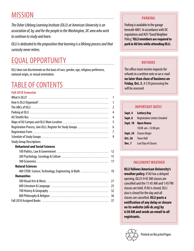## **MISSION**

*The Osher Lifelong Learning Institute (OLLI) at American University is an association of, by, and for the people in the Washington, DC area who wish to continue to study and learn.*

*OLLI is dedicated to the proposition that learning is a lifelong process and that curiosity never retires.*

## EQUAL OPPORTUNITY

OLLI does not discriminate on the basis of race, gender, age, religious preference, national origin, or sexual orientation.

## TABLE OF CONTENTS

#### **Fall 2018 Semester**

|                                                            | 1              |
|------------------------------------------------------------|----------------|
|                                                            | 1              |
|                                                            | $\overline{2}$ |
|                                                            | 4              |
|                                                            | 4              |
|                                                            | 5              |
| Registration Process, Join OLLI, Register for Study Groups | 6              |
|                                                            | 7              |
|                                                            | 9              |
| <b>Study Group Descriptions</b>                            |                |
| <b>Behavioral and Social Sciences</b>                      |                |
|                                                            | 12             |
|                                                            | 15             |
|                                                            | 17             |
| <b>Natural Sciences</b>                                    |                |
| 400 STEM: Science, Technology, Engineering, & Math         | 19             |
| <b>Humanities</b>                                          |                |
|                                                            | 21             |
|                                                            | 25             |
|                                                            | 32             |
|                                                            | 36             |
|                                                            | 37             |
|                                                            |                |

#### **PARKING**

Parking is available in the garage beneath 4801. In accordance with DC regulations and AU's "Good Neighbor Policy," **OLLI members are required to park in AU lots while attending OLLI.** 

### **REFUNDS**

The office must receive requests for refunds in a written note or an e-mail **no later than close of business on Friday, Oct. 5.** A \$10 processing fee will be assessed.

#### **IMPORTANT DATES**

| Sept. 4         | <b>Lottery Day</b>                  |
|-----------------|-------------------------------------|
| Sept. 6         | <b>Registration Letters Emailed</b> |
| <b>Sept. 18</b> | <b>Open House</b>                   |
|                 | 10:00 $am-12:00$ pm                 |
|                 | <b>Sept. 24</b> Classes Begin       |
| Oct. 26         | <b>Town Hall</b>                    |
| Dec. 7          | Last Day of Classes                 |
|                 |                                     |

#### **INCLEMENT WEATHER**

**OLLI follows American University's weather policy.** If AU has a delayed opening, OLLI's 9:45 AM classes are cancelled and the 11:45 AM and 1:45 PM classes are held. If AU is closed, OLLI also is closed for the day and all classes are cancelled. **OLLI posts a notification of any delay or closure on its website (olli-dc.org) by 6:30 AM and sends an email to all registrants.**

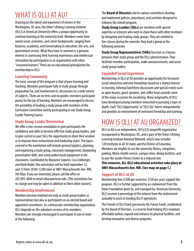## WHAT IS OLLI AT AU?

Drawing on the talent and experience of seniors in the Washington, DC area, the Osher Lifelong Learning Institute (OLLI) at American University offers a unique opportunity to continue learning at the university level. Members come from varied social, economic, and career backgrounds, ranging from business, academia, and homemaking to education, the arts, and government service. What they have in common is a genuine interest in continuing their learning experiences and intellectual stimulation by participation in an organization with other "seasoned learners." There are no educational prerequisites for membership in OLLI.

#### **Learning Community**

The basic concept of the program is that of peer learning and teaching. Members participate fully in study groups through preparation for, and involvement in, discussions on a wide variety of subjects. There are no tests and no grades; members participate purely for the joy of learning. Members are encouraged to discuss the possibility of leading a study group with members of the Curriculum Committee and by participating in our Study Group Leader Training Course.

#### **Study Group Leader Orientation**

We offer a two-session orientation to give participants the confidence and skills to become effective study group leaders, and to give current or past SGLs the opportunity to share their wisdom or to improve their instructional and leadership styles. The topics covered in the orientation will include general logistics, planning and organizing a study group, classroom management, sharpening presentation skills, and using audio/visual equipment in the classrooms. Coordinated by Marianne Soponis, Lisa Leinberger, and Mark Nadel, this orientation will be held September 12 and 13 from 10:00-12:00 noon at 4801 Massachusetts Ave. NW, 5th floor. If you are interested, please call the office at 202.895-4860 or email olli@american.edu. (This orientation has no charge and may be taken in addition to three other courses).

#### **Membership Involvement**

Members become involved not only as study group leaders or representatives but also as participants on an elected board and appointed committees. As a democratic membership organization, OLLI depends on the volunteer services of its members. Members are strongly encouraged to participate in one or more of the following:

The **Board of Directors** and its various committees develop and implement policies, procedures, and activities designed to enhance the overall program.

**Study Group Leaders (SGLs)** are members with special expertise or interests who wish to share these with other members by designing and leading study groups. They are entitled to free classes during the semester they lead a group or the following semester.

**Study Group Representatives (SGRs)** function as a liaison between their study group and the OLLI administration. They facilitate member participation, make announcements, and assist study group leaders.

#### **Expanded Social Experience**

Membership in OLLI at AU provides an opportunity for increased social interaction and new friendships based on a shared interest in learning. Informal lunchtime discussions and special events such as open houses, guest speakers, and coffee hours provide some of the many occasions for socializing. Many outgrowths of OLLI have developed among members interested in pursuing a topic in depth. Each "OLLI Opportunity" or "OLLI Op" meets independently and provides an environment of continued friendship and learning.

## HOW IS OLLI AT AU ORGANIZED?

OLLI at AU is an independent, 501(c)(3) nonprofit organization incorporated in Washington, DC, and is part of the Osher Lifelong Learning Institute National Network, which now includes 120 Institutes in all 50 states and the District of Columbia. Members are eligible to use the university library, computers, parking, Metro shuttle service, campus store, dining facilities, and to join the Jacobs Fitness Center at a reduced rate.

**This semester, ALL OLLI educational activities take place at 4801 Massachusetts Ave. NW. (See map on page 5.)**

#### **Support of OLLI at AU**

Membership fees (\$300 per semester, \$550 per year) support the program. OLLI is further supported by an endowment from the Osher Foundation given to, and managed by, American University. OLLI receives a percentage of the interest from the endowment annually to assist in funding OLLI's operations.

The Friends of OLLI Fund (previously the Future Fund), established by the Board of Directors, is a reserve fund helping OLLI maintain affordable tuition, expand and enhance its physical facilities, and develop innovative and diverse programs.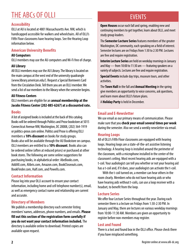## THE ABCs OF OLLI

#### **Accessibility**

OLLI at AU is located at 4801 Massachusetts Ave. NW, which is handicapped accessible for walkers and wheelchairs. All of OLLI's Fifth Floor classrooms have hearing loops. See the Hearing Loop information below.

#### **American University Benefits**

#### **AU Computers**

OLLI members may use the AU computers and Wi-Fi free of charge.

#### **AU Library**

All OLLI members may use the AU Library. The library is located on the main campus at the west end of the university quadrangle (www.library.american.edu/). Request a Special Borrowers Card from the Circulation Desk. Tell them you are an OLLI member. We send a list of our members to the library when the semester begins.

#### **AU Fitness Centers**

OLLI members are eligible for an **annual membership at the Jacobs Fitness Center (202-885-6267) at a discounted rate.**

#### **Books**

A list of assigned books is included at the back of this catalog. Books will be ordered through Politics and Prose bookstore at 5015 Connecticut Avenue NW, Washington, DC 20008, (202) 364-1919 or politics-prose.com online. Politics and Prose is offering OLLI members a **10% discount** on books for study groups. Books also will be available through the AU Bookstore on campus. OLLI members are entitled to a **10% discount**. Books also can be ordered online (often at reduced prices) or purchased at other book stores. The following are some online suggestions for purchasing books, in alphabetical order: AbeBooks.com, AddAll.com, Alibris.com, Amazon.com, BookCloseouts.com, BookFinder.com, Half.com, and Powells.com.

#### **Contact Information**

Please log into your OLLI account to ensure your contact information, including home and cell telephone number(s), email, as well as emergency contact name and relationship are current and accurate.

#### **Directory of Members**

We publish a membership directory each semester listing members' names, addresses, phone numbers, and emails. **Please fill out this section of the registration form carefully if you do not want your contact information included.** The directory is available online to download. Printed copies are available upon request.

## EVENTS

**Open Houses** occur each fall and spring, enabling new and continuing members to get together, learn about OLLI, and meet study group leaders.

The **Semester Lecture Series** features members of the greater Washington, DC community, each speaking on a field of interest. Semester lectures are on Fridays from 1:30 to 2:30 PM. Lectures are free and require registration.

**Interim Lecture Series** are held on weekday mornings in January and May — from 10:00 to 11:30 am — featuring speakers on a variety of subjects. Lectures are free and require registration.

**Special Events** include day trips, museum tours, and other activities.

The **Town Hall** in the fall and **Annual Meeting** in the spring give members an opportunity to voice concerns, ask questions, and learn more about OLLI's future plans.

A **Holiday Party** is held in December.

#### **Email and E-Newsletter**

We use email as our primary means of communication. Please make sure that you **check your email several times per week** during the semester. Also we send a weekly newsletter via email.

#### **Hearing Loops**

All of OLLI's Fifth Floor classrooms are equipped with hearing loops. Hearing loops are a state-of-the-art assistive listening technology. A hearing loop is installed around the perimeter of the classroom, with a microphone installed in the center of the classroom's ceiling. Most recent hearing aids are equipped with a t-coil. Your audiologist can tell you whether or not your hearing aid has a t-coil and, if it does, your audiologist can activate the t-coil.

With the t-coil turned on, a member can hear others in the room clearly. Members who do not have hearing aids or who have hearing aids without t-coils, can use a loop receiver with a headset, to benefit from the loop.

#### **Lecture Series**

We offer four Lecture Series throughout the year. During each semester there is a lecture on Fridays from 1:30-2:30 PM. In January and May, there are lectures on various weekday mornings from 10:00-11:30 AM. Members are given an opportunity to register before non-members may register.

#### **Lost and Found**

There is a lost and found box in the OLLI office. Please check there if you have misplaced something.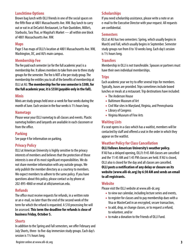#### **Lunchtime Options**

Brown bag lunch with OLLI friends in one of the social spaces on the fifth floor at 4801 Massachusetts Ave. NW. Buy lunch to carry out or eat in at DeCarlo's Restaurant, Le Pain Quotidien, Millie's, Starbucks, Tara Thai, or Wagshal's Market — all within one block of 4801 Massachusetts Ave. NW.

#### **Maps**

Page 5 has maps of OLLI's location at 4801 Massachusetts Ave. NW, Washington, DC, and AU's main campus.

#### **Membership Fee**

The fee paid each semester (or for the full academic year) is a membership fee. It allows members to take from one to three study groups for the semester. The fee is NOT a fee per study group. The membership fee entitles you to all of the benefits of membership at OLLI at AU. **The membership fee for one semester is \$300, for the full academic year, it is \$550 (payable only in the fall).**

#### **Minis**

Minis are study groups held once-a-week for four weeks during the month of June. Each session in the four weeks is 11/2 hours long.

#### **Nametags**

Please wear your OLLI nametag to all classes and events. Plastic nametag holders and lanyards are available in each classroom or from the office.

#### **Parking**

See page 4 for information on parking.

#### **Privacy Policy**

OLLI at American University is highly sensitive to the privacy interests of members and believes that the protection of those interests is one of its most significant responsibilities. We do not share member information with any outside groups. We only publish the member directory as a courtesy to members. We expect members to adhere to the same policy. If you have questions about this policy, please contact us by phone at 202-895-4860 or email at olli@american.edu.

#### **Refunds**

The office must receive requests for refunds, in a written note or an e-mail, no later than the end of the second week of the term for which the refund is requested. A \$10 processing fee will be assessed. **This term the deadline for refunds is close of business Friday, October 5.**

#### **Shorts**

In addition to the Spring and Fall semesters, we offer February and July Shorts, three- to five-day immersion study groups. Each day's session is 11/2 hours long.

#### **Scholarships**

If you need scholarship assistance, please write a note or an e-mail to the Executive Director with your request. All requests are confidential.

#### **Semesters**

OLLI at AU has two semesters: Spring, which usually begins in March) and Fall, which usually begins in September. Semester study groups run from 8 to 10 weeks long. Each day's session is 11/2 hours long.

#### **Transfers**

Membership in OLLI is not transferable. Spouses or partners must have their own individual memberships.

#### **Trips**

Each academic year we try to offer several trips for members. Typically, buses are provided. Trips sometimes include boxed lunches or meals at a restaurant. Trip destinations have included:

- The Anderson House
- Baltimore Museum of Art
- Civil War sites in Maryland, Virginia, and Pennsylvania
- Library of Congress
- Virginia Museum of Fine Arts

#### **Waiting Lists**

If a seat opens in a class which has a waitlist, members will be contacted by staff and offered a seat in the order in which they appear on the waitlist.

#### **Weather Policy for Class Cancellation**

#### **OLLI follows American University's weather policy.**

If AU has a delayed opening, OLLI's 9:45 AM classes are cancelled and the 11:45 AM and 1:45 PM classes are held. If AU is closed, OLLI also is closed for the day and all classes are cancelled. **OLLI posts a notification of any delay or closure on its website (www.olli-dc.org) by 6:30 AM and sends an email to all registrants.**

#### **Website**

Please visit the OLLI website at www.olli-dc.org:

- to view our calendar, including lecture series and events,
- to register for classes and to pay membership dues with a Visa or MasterCard in an encrypted, secure transaction,
- to add, drop, or change classes, or to request a refund, to volunteer, and/or
- to make a donation to the Friends of OLLI Fund.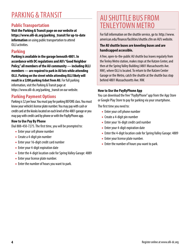## PARKING & TRANSIT

### **Public Transportation**

**Visit the Parking & Transit page on our website at https://www.olli-dc.org/parking\_transit for up-to-date information** on using public transportation to attend OLLI activities.

### **Parking**

**Parking is available in the garage beneath 4801. In accordance with DC regulations and AU's "Good Neighbor Policy," all members of the AU community — including OLLI members — are required to park in AU lots while attending OLLI. Parking on the street while attending OLLI likely will result in a \$200 parking ticket from AU.** For full parking information, visit the Parking & Transit page at https://www.olli-dc.org/parking\_transit on our website.

### **Parking Payment Options**

Parking is \$2 per hour. You must pay for parking BEFORE class. You must know your vehicle's license plate number. You may pay with cash or credit card at the kiosks located on each level of the 4801 garage or you may pay with credit card by phone or with the PayByPhone app.

#### **How to Use Pay By Phone**

Dial 888-450-7275. The first time, you will be prompted to:

- Enter your cell phone number
- Create a 4-digit pin number
- Enter your 16-digit credit card number
- Enter your 4-digit expiration date
- Enter the 4-digit location code for Spring Valley Garage: 4889
- Enter your license plate number.
- Enter the number of hours you want to park.

## AU SHUTTLE BUS FROM TENLEYTOWN METRO

For full information on the shuttle service, go to: http://www. american.edu/finance/facilities/shuttle.cfm on AU's website.

#### **The AU shuttle buses are kneeling buses and are handicapped accessible.**

A free, open-to-the-public AU shuttle bus leaves regularly from the Tenley Metro station, makes stops at the Katzen Center, and then at the Spring Valley Building (4801 Massachusetts Ave. NW), where OLLI is located. To return to the Katzen Center Garage or the Metro, catch the shuttle at the shuttle bus stop behind 4801 Massachusetts Ave. NW.

#### **How to Use the PayByPhone App**

You can download the free "PayByPhone" app from the App Store or Google Play Store to pay for parking via your smartphone.

The first time you need to:

- Enter your cell phone number
- Create a 4-digit pin number
- Enter your 16-digit credit card number
- Enter your 4-digit expiration date
- Enter the 4-digit location code for Spring Valley Garage: 4889
- Enter your license plate number.
- Enter the number of hours you want to park.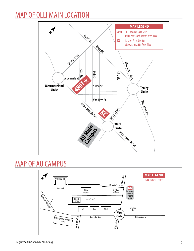## MAP OF OLLI MAIN LOCATION



## MAP OF AU CAMPUS

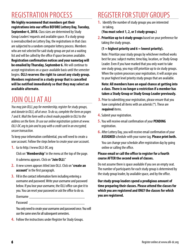## REGISTRATION PROCESS

**We highly recommend that members get their registrations into our office BEFORE Lottery Day, Tuesday, September 4, 2018.** Class sizes are determined by Study Group Leaders' requests and available space. If a study group is oversubscribed on Lottery Day, the registrations in that class are subjected to a random computer lottery process. Members who are not selected for said study group are put on a waiting list and will be called by the office if space becomes available. **Registration confirmation notices and your nametag will be emailed by Thursday, September 6.** We will continue to accept registrations on a space-available basis until the semester begins. **OLLI reserves the right to cancel any study group. Members registered in a study group that is cancelled will be notified immediately so that they may select an available alternate.**

## JOIN OLLI AT AU

*You may join OLLI, pay for membership, register for study groups, and donate to OLLI, all at once. To do so, complete the form on pages 7 and 8. Mail the form with a check made payable to OLLI to the address on the form. Or use our online registration system at www. OLLI-DC.org to join and to pay with a credit card in an encrypted, secure transaction.*

To keep your information confidential, you will need to create a user account. Follow the steps below to create your user account.

**1.** Go to http://www.OLLI-DC.org

Click on "**Membership**" in the menu at the top of the page. A submenu appears. Click on "**Join OLLI**."

- **2.** A new screen appears titled Join OLLI. Click on "**create an account**" in the first paragraph.
- **3.** Fill in the contact information form including entering a username and password. Write your username and password below. If you lose your username, the OLLI office can give it to you. You can reset your password or ask the office to do so.

Username \_\_\_\_\_\_\_\_\_\_\_\_\_\_\_\_\_\_\_\_\_\_\_\_\_\_\_\_

Password **and** 

You only need to create your username and password once. You will use the same ones for all subsequent semesters.

**4.** Follow the instructions under Register for Study Groups.

## REGISTER FOR STUDY GROUPS

**1.** Identify the number of study groups you are interested in taking.

#### **(You must select 1, 2, or 3 study groups.)**

**2. Prioritize up to 6 study groups** based on your preference for taking the study groups.

#### **(1 = highest priority and 6 = lowest priority).**

Note: Prioritize your study groups by whichever method works best for you: subject matter, time/day, location, or Study Group Leader. Even if you have marked that you only want to take one study group, you may still prioritize up to six study groups. When the system processes your registration, it will assign you to your highest level priority study groups that are available.

#### **Note: All members have an equal chance at getting into a class. There is no longer a restriction if a member has taken a Study Group or Study Group Leader previously.**

- **3.** Prior to submitting your registration, please ensure that you have completed all items with an asterisk (\*). These are **required** items.
- **4.** Submit your registration.
- **5.** You will receive email confirmation of your **PENDING** registration.
- **6.** After Lottery Day, you will receive email confirmation of your **ASSIGNED** schedule with your name tag. **Please print both.**

You can change your schedule after registration day by going online or calling the office.

#### **Please email or call the office to register for a fourth course AFTER the second week of classes.**

Do not assume there is space available if you see an empty seat. The number of participants for each study group is determined by the study group leader, by available space, and by the office.

**Our study group leaders spend a prodigious amount of time preparing their classes. Please attend the classes for which you are registered and ONLY the classes for which you are registered.**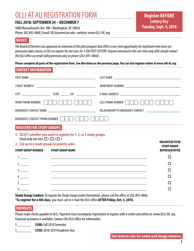## OLLI AT AU REGISTRATION FORM

#### **FALL 2018: SEPTEMBER 24 – DECEMBER 7**

4400 Massachusetts Ave. NW • Washington, DC 20016 Phone 202.895.4860 | Email: OLLI@american.edu • website: www.OLLI-DC.org

### **Register BEFORE Lottery Day Tuesday, Sept. 4, 2018**

#### **NOTICE**

*The Board of Directors has approved an extension of the pilot program that offers a one-time opportunity for registrants who have not previously taken classes at OLLI to register for one class for \$100 POST LOTTERY. Anyone interested in this one-time only offer should contact the OLLI office via email (olli@american.edu) or phone (202-895-4860).*

**Please complete all parts of the registration form. See directions on the previous page. You can also register online at www.olli-dc.org**

| <b>HOME PHONE NUMBER</b>                                                                          | - 11 - 14                                                           | CELL PHONE NUMBER          -<br>$\vert$ -                                                                                                                                                |
|---------------------------------------------------------------------------------------------------|---------------------------------------------------------------------|------------------------------------------------------------------------------------------------------------------------------------------------------------------------------------------|
|                                                                                                   |                                                                     | RELATIONSHIP TO EMERGENCY CONTACT ____________________________                                                                                                                           |
| <b>EMERGENCY CONTACT PHONE NUMBER</b>                                                             |                                                                     |                                                                                                                                                                                          |
|                                                                                                   |                                                                     |                                                                                                                                                                                          |
| <b>REGISTER FOR STUDY GROUPS</b>                                                                  |                                                                     |                                                                                                                                                                                          |
| Check only one box: $\Box$ 1 $\Box$ 2 $\Box$ 3<br>2. List up to 6 study groups in priority order. | 1. SELECT whether you want to register for 1, 2, or 3 study groups. | <b>VOLUNTEER TO BE</b><br><b>STUDY GROUP</b>                                                                                                                                             |
|                                                                                                   | <b>STUDY GROUP NAME</b>                                             | <b>REPRESENTATIVE</b>                                                                                                                                                                    |
| 1.                                                                                                |                                                                     | □                                                                                                                                                                                        |
| 2.                                                                                                |                                                                     | П<br>and the control of the control of the control of the control of the control of the control of the control of the                                                                    |
| 3.                                                                                                |                                                                     | П                                                                                                                                                                                        |
| <b>STUDY GROUP NUMBER</b><br>4.<br>5.                                                             |                                                                     | П<br>and the control of the control of the control of the control of the control of the control of the control of the<br>П<br><u> 1989 - Johann Stoff, amerikansk politiker (* 1908)</u> |

**Study Group Leaders:** To register for Study Group Leader Orientation, please call the office at 202-895-4860. \***To register for a 4th class**, you must call or e-mail the OLLI office **AFTER Friday, Oct. 5, 2018.**

#### **PAYMENTS**

Please make checks payable to OLLI. Payment must accompany registration or register with a credit card online at: www.OLLI-DC.org. Financial assistance is available. Contact the OLLI office for information.

- \$\_\_\_\_\_\_\_ **\$300:** Fall 2018 Semester
- \$\_\_\_\_\_\_\_ **\$550:** 2018-2019 Academic Year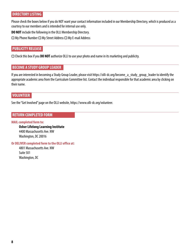#### **DIRECTORY LISTING**

Please check the boxes below if you do NOT want your contact information included in our Membership Directory, which is produced as a courtesy to our members and is intended for internal use only.

**DO NOT** include the following in the OLLI Membership Directory.

 $\square$  My Phone Number  $\square$  My Street Address  $\square$  My E-mail Address

#### **PUBLICITY RELEASE**

□ Check this box if you **DO NOT** authorize OLLI to use your photo and name in its marketing and publicity.

#### **BECOME A STUDY GROUP LEADER**

If you are interested in becoming a Study Group Leader, please visit https://olli-dc.org/become\_a\_study\_group\_leader to identify the appropriate academic area from the Curriculum Committee list. Contact the individual responsible for that academic area by clicking on their name.

#### **VOLUNTEER**

See the "Get Involved" page on the OLLI website, https://www.olli-dc.org/volunteer.

#### **RETURN COMPLETED FORM**

#### **MAIL completed form to:**

**Osher Lifelong Learning Institute** 4400 Massachusetts Ave. NW Washington, DC 20016

**Or DELIVER completed form to the OLLI office at:**

4801 Massachusetts Ave. NW Suite 501 Washington, DC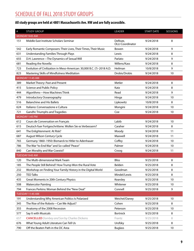### SCHEDULE OF FALL 2018 STUDY GROUPS

#### **All study groups are held at 4801 Massachusetts Ave. NW and are fully accessible.**

| $\#$ | <b>STUDY GROUP</b>                                                    | <b>LEADER</b>                      | <b>START DATE</b> | SESSIONS |
|------|-----------------------------------------------------------------------|------------------------------------|-------------------|----------|
|      | MONDAY 9:45 AM                                                        |                                    |                   |          |
| 151  | Middle East Institute Scholars Seminar                                | DeRoze,<br><b>OLLI Coordinator</b> | 9/24/2018         | 8        |
| 542  | Early Romantic Composers: Their Lives, Their Times, Their Music       | Bowen                              | 9/24/2018         | 9        |
| 631  | <b>Understanding Families Through Plays</b>                           | Lewis                              | 9/24/2018         | 8        |
| 655  | D.H. Lawrence-The Dynamics of Sexual Will                             | Parlato                            | 9/24/2018         | 9        |
| 681  | Reading the Novella                                                   | Willens/Kass                       | 9/24/2018         | 8        |
| 723  | Evolution of Civilization in Meso-American: 30,000 B.C. (?)-2018 A.D. | Heilman                            | 10/8/2018         | 9        |
| 823  | Mastering Skills of Mindfulness Meditation                            | Drobis/Drobis                      | 9/24/2018         | 10       |
|      | MONDAY 11:45 AM                                                       |                                    |                   |          |
| 389  | Market Theory: Past and Present                                       | Metler                             | 9/24/2018         | 8        |
| 415  | Science and Public Policy                                             | Katz                               | 9/24/2018         | 8        |
| 444  | Algorithms-How Machines Think                                         | Read                               | 9/24/2018         | 9        |
| 479  | Introductory Oceanography                                             | Hinga                              | 9/24/2018         | 10       |
| 516  | <b>Balanchine and His Ballets</b>                                     | Lipkowitz                          | 10/8/2018         | 8        |
| 624  | Italiano: Conversazione e Cultura                                     | Mongini                            | 9/24/2018         | 10       |
| 721  | Gandhi: Triumphs and Tragedies                                        | Coe                                | 9/24/2018         | 10       |
|      | MONDAY 1:45 PM                                                        |                                    |                   |          |
| 612  | Cours de Conversation en Français                                     | Labib                              | 9/24/2018         | 10       |
| 615  | Deutsch fuer Fortgeschrittene. Wollen Sie es Verbessern?              | Caraher                            | 9/24/2018         | 8        |
| 641  | The Enlightenment: At Risk?                                           | Moody                              | 9/24/2018         | 11       |
| 687  | August Wilson Century Cycle                                           | Maxwell                            | 9/24/2018         | 11       |
| 765  | Germany 1860-1950: Bismarck to Hitler to Adenhauer                    | Coffey                             | 9/24/2018         | 10       |
| 786  | The War "to End War" and So-called "Peace"                            | Palmer                             | 9/24/2018         | 10       |
| 840  | Can Morality and War Coexist?                                         | Croog                              | 9/24/2018         | 11       |
|      | TUESDAY 9:45 AM                                                       |                                    |                   |          |
| 120  | The Multi-dimensional Mark Twain                                      | <b>Bliss</b>                       | 9/25/2018         | 8        |
| 185  | The People Still Behind? How Trump Won the Rural Vote                 | Belden                             | 9/25/2018         | 8        |
| 232  | Workshop on Finding Your Family History in the Digital World          | Goodman                            | 9/25/2018         | 8        |
| 250  | <b>TED Talks</b>                                                      | Mindel/Lewis                       | 9/25/2018         | 8        |
| 435  | Great Moments in 20th Century Physics                                 | Kearsley                           | 9/25/2018         | 10       |
| 508  | <b>Watercolor Painting</b>                                            | Whitener                           | 9/25/2018         | 10       |
| 794  | Frances Perkins: Woman Behind the "New Deal"                          | Connell                            | 9/25/2018         | 9        |
|      | TUESDAY 11:45 AM                                                      |                                    |                   |          |
| 191  | Understanding Why American Politics Is Polarized                      | Weichel/Daney                      | 9/25/2018         | 10       |
| 345  | The Rise of the Robots-Can We Adjust?                                 | Cohen                              | 9/25/2018         | 8        |
| 355  | Anatomy of the 2008 Recession                                         | Peterson                           | 9/25/2018         | 10       |
| 577  | Say It with Musicals                                                  | Bortnick                           | 9/25/2018         | 8        |
| 657  | <b>CANCELLED</b> Dombey and Son by Charles Dickens                    | Frantz                             | 9/25/2018         | 8        |
| 676  | What Young Adult Literature Can Tell Us                               | Urofsky                            | 9/25/2018         | 8        |
| 790  | Off the Beaten Path in the DC Area                                    | <b>Buglass</b>                     | 9/25/2018         | 10       |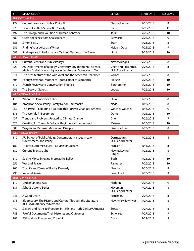| $\#$ | <b>STUDY GROUP</b>                                                                                                             | LEADER                                          | <b>START DATE</b> | <b>SESSIONS</b> |
|------|--------------------------------------------------------------------------------------------------------------------------------|-------------------------------------------------|-------------------|-----------------|
|      | TUESDAY 1:45 PM                                                                                                                |                                                 |                   |                 |
| 172  | <b>Current Events and Public Policy II</b>                                                                                     | Nevins/Levine                                   | 9/25/2018         | 8               |
| 373  | How to Get Rich Surely, But Slowly                                                                                             | Cahn                                            | 9/25/2018         | 11              |
| 492  | The Biology and Evolution of Human Behavior                                                                                    | Taran                                           | 9/25/2018         | 10              |
| 680  | Great Speeches from Shakespeare                                                                                                | Schwartz                                        | 9/25/2018         | 9               |
| 685  | Simon Says                                                                                                                     | <b>Starr</b>                                    | 9/25/2018         | 8               |
| 686  | Finding Your Voice as a Writer                                                                                                 | Heidish Dolan                                   | 9/25/2018         | 9               |
| 688  | Shakespeare in Performance: Tackling Taming of the Shrew                                                                       | Light                                           | 9/25/2018         | 10              |
|      | <b>WEDNESDAY 9:45 AM</b>                                                                                                       |                                                 |                   |                 |
| 171  | <b>Current Events and Public Policy I</b>                                                                                      | Nevins/Ringell                                  | 9/26/2018         | 8               |
| 420  | AU Departments of Biology, Chemistry, Environmental Science,<br>Math & Statistics, and Physics: Adventures in Science and Math | Cheh and Rosenthal,<br><b>OLLI Coordinators</b> | 9/26/2018         | 8               |
| 511  | The Architecture of the Wild West and the American Character                                                                   | Vorhes                                          | 9/26/2018         | 8               |
| 604  | Poetry Craftshop: Mother of Roots, Father of Diamonds                                                                          | Pierson                                         | 9/26/2018         | 10              |
| 619  | <b>French Review and Conversation Practice</b>                                                                                 | Bonhomme                                        | 9/26/2018         | 10              |
| 646  | The Book of Genesis                                                                                                            | Lebow                                           | 9/26/2018         | 10              |
|      | WEDNESDAY 11:45 AM                                                                                                             |                                                 |                   |                 |
| 113  | When Do Democracies Die?                                                                                                       | Elkin                                           | 9/26/2018         | 8               |
| 184  | American Social Policy: Safety Net or Hammock?                                                                                 | Nadel                                           | 10/3/2018         | 8               |
| 252  | The 1960s-Exploring a Decade that Forever Changed America                                                                      | Weichel/Weichel                                 | 10/3/2018         | 9               |
| 375  | The Worldly Philosophers                                                                                                       | Ooms                                            | 9/26/2018         | 10              |
| 437  | Trends and Problems Related to Climate Change                                                                                  | Cheh                                            | 9/26/2018         | 9               |
| 523  | Creating Art Through Collage: Beginners and Advanced                                                                           | Mosner                                          | 9/26/2018         | 10              |
| 580  | Wagner and Strauss: Master and Disciple                                                                                        | Eisen/Holman                                    | 9/26/2018         | 8               |
|      | <b>WEDNESDAY 1:45 PM</b>                                                                                                       |                                                 |                   |                 |
| 110  | AU School of Public Affairs: Contemporary Issues in Law,<br>Government, and Policy                                             | Darmstadter,<br><b>OLLI Coordinator</b>         | 9/26/2018         | 8               |
| 180  | Today's Supreme Court: A Course for Citizens                                                                                   | Hansen                                          | 10/3/2018         | 8               |
| 182  | <b>Current Events Light</b>                                                                                                    | Nevins/Levine/<br>Ringell                       | 9/26/2018         | 8               |
| 510  | Seeing More, Enjoying More at the Ballet                                                                                       | Bush                                            | 9/26/2018         | 10              |
| 656  | War and Peace                                                                                                                  | Palmeter                                        | 9/26/2018         | 10              |
| 705  | The Life and Times of Bobby Kennedy                                                                                            | Newman                                          | 9/26/2018         | 8               |
| 795  | <b>Imperial Russia</b>                                                                                                         | Levenbook                                       | 9/26/2018         | 9               |
|      | THURSDAY 9:45 AM                                                                                                               |                                                 |                   |                 |
| 112  | <b>Understanding Asia</b>                                                                                                      | Hadden                                          | 9/27/2018         | 9               |
| 181  | <b>Scholars' World Series</b>                                                                                                  | Havemann,<br><b>OLLI Coordinator</b>            | 9/27/2018         | 8               |
| 241  | A Good Death                                                                                                                   | Hausman                                         | 9/27/2018         | 8               |
| 673  | Bloomsbury: The History and Culture, Through the Literature<br>of a Revolutionary Movement                                     | Newmyer/Newmyer                                 | 9/27/2018         | 8               |
| 740  | Slavery and Paths to Freedom in 18th- and 19th-Century America                                                                 | Stewart                                         | 9/27/2018         | 8               |
| 788  | Fateful Documents: Their Histories and Outcomes                                                                                | Schwartz                                        | 9/27/2018         | 9               |
| 792  | FDR and His Envoys and Churchill                                                                                               | Clark                                           | 9/27/2018         | 9               |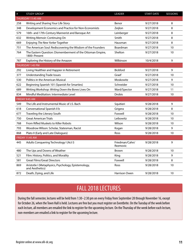| $\#$ | <b>STUDY GROUP</b>                                                         | <b>LEADER</b>              | <b>START DATE</b> | <b>SESSIONS</b> |
|------|----------------------------------------------------------------------------|----------------------------|-------------------|-----------------|
|      | THURSDAY 11:45 AM                                                          |                            |                   |                 |
| 258  | Writing and Sharing Your Life Story                                        | Benor                      | 9/27/2018         | 8               |
| 348  | Development Economics and Practice for Non-Economists                      | Zeijlon                    | 9/27/2018         | 8               |
| 579  | 16th- and 17th-Century Mannerist and Baroque Art                           | Leinberger                 | 9/27/2018         | 8               |
| 632  | Writing Memoir: Continuing On                                              | Smith                      | 9/27/2018         | 8               |
| 669  | Enjoying The New Yorker Together                                           | Hausman                    | 9/27/2018         | 8               |
| 751  | The American Soul: Rediscovering the Wisdom of the Founders                | Boardman                   | 9/27/2018         | 10              |
| 764  | The Eastern Question: Dismemberment of the Ottoman Empire,<br>1800-Present | Shelton                    | 9/27/2018         | 10              |
| 787  | Exploring the History of the Amazon                                        | Wilkinson                  | 10/4/2018         | 9               |
|      | THURSDAY 1:45 PM                                                           |                            |                   |                 |
| 292  | Living Healthier and Happier in Retirement                                 | Bickford                   | 9/27/2018         | 9               |
| 377  | <b>Understanding Trade Issues</b>                                          | Graef                      | 9/27/2018         | 10              |
| 530  | <b>Politics in the American Musical</b>                                    | Moskowitz                  | 9/27/2018         | 9               |
| 622  | Beginning Spanish 101 (Spanish for Smarties)                               | Schneider                  | 9/27/2018         | 10              |
| 689  | Writing Workshop: Writing Down the Bones Lives On                          | Ward/Spector               | 9/27/2018         | 11              |
| 834  | Mindful Meditation: Intermediate Level                                     | <b>Drobis</b>              | 9/27/2018         | 10              |
|      | FRIDAY 9:45 AM                                                             |                            |                   |                 |
| 549  | The Life and Instrumental Music of J.S. Bach                               | Squitieri                  | 9/28/2018         | 9               |
| 618  | Conversational Spanish II b                                                | Grigera                    | 9/28/2018         | 8               |
| 677  | Traveling the Literary South                                               | Foxwell                    | 9/28/2018         | 10              |
| 750  | <b>Great American Trials</b>                                               | Leibowitz                  | 9/28/2018         | 10              |
| 768  | From Rifled Muskets to Killer Robots                                       | Wilson                     | 9/28/2018         | 10              |
| 793  | Woodrow Wilson: Scholar, Statesman, Racist                                 | Kogan                      | 9/28/2018         | 9               |
| 868  | Plato II (Early and Late Dialogues)                                        | Ross                       | 9/28/2018         | 10              |
|      | <b>FRIDAY 11:45 AM</b>                                                     |                            |                   |                 |
| 445  | Adults Conquering Technology I (Act I)                                     | Friedman/Cahn/<br>Rezmovic | 9/28/2018         | 9               |
| 480  | The Ups and Downs of Weather                                               | <b>Brown</b>               | 9/28/2018         | 10              |
| 521  | Film: History, Politics, and Morality                                      | King                       | 9/28/2018         | 9               |
| 581  | <b>Great Films/Great Directors</b>                                         | Foxwell                    | 9/28/2018         | 8               |
| 869  | Aristotle I (Metaphysics, Psychology, Epistemology,<br>and Aesthetics)     | Ross                       | 9/28/2018         | 10              |
| 872  | Death, Dying, and Life                                                     | Harrison Owen              | 9/28/2018         | 10              |

## FALL 2018 LECTURES

During the fall semester, lectures will be held from 1:30–2:30 pm on every Friday from September 28 through November 16, except for October 26, when the Town Hall is held. Lectures are free but you must register on Eventbrite. On the Tuesday of the week before each lecture, all members are emailed the link to register for the upcoming lecture. On the Thursday of the week before each lecture, non-members are emailed a link to register for the upcoming lecture.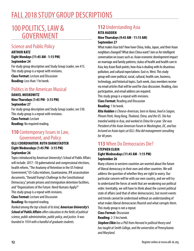## FALL 2018 STUDY GROUP DESCRIPTIONS

## 100 POLITICS, LAW & GOVERNMENT

### Science and Public Policy

**ARTHUR KATZ Eight Mondays (11:45 AM - 1:15 PM) September 24** For study group description and Study Group Leader, see 415. This study group is a repeat with revisions.

**Class Format:** Lecture and Discussion **Reading:** Less than 1 hr/week.

### Politics in the American Musical

#### **DANIEL MOSKOWITZ Nine Thursdays (1:45 PM - 3:15 PM) September 27**

For study group description and Study Group Leader, see 530. This study group is a repeat with revisions. **Class Format:** Lecture **Reading:** No required reading.

### **110** Contemporary Issues in Law, Government, and Policy

#### **OLLI COORDINATOR: RUTH DARMSTADTER Eight Wednesdays (1:45 PM - 3:15 PM) September 26**

Topics introduced by American University's School of Public Affairs will include: 2017–18 gubernatorial and congressional elections, health reform, "The Anatomy of Retention in the US Federal Government," US-Cuba relations, Guantanamo, JFK assassination documents, "Donald Trump's Challenge to the Constitutional Democracy," private prisons and immigration detention facilities, and "Organizations of the Future: Need Humans Apply?" This study group is a repeat with revisions.

#### **Class Format:** Lecture and Discussion

**Reading:** No required reading.

*Ranked among the top schools of its kind, American University's School of Public Affairs offers education in the fields of political science, public administration, public policy, and justice. It was founded in 1934 with a handful of graduate students.*

### **112** Understanding Asia

#### **RITA HADDEN Nine Thursdays (9:45 AM - 11:15 AM) September 27**

What makes Asia tick? How have China, India, Japan, and their Asian neighbors changed? What does China want? Join us for intelligent conversation on issues such as: Asian economic development impact on marriage and family patterns; status of health and health care in Asia; key Asian flash points; how Asia is dealing with its disastrous pollution; and cultural expectations: East vs. West. This study group will cover political, social, cultural, health care, business, technology, and historical topics. Each week, class members receive via email articles that will be used for class discussion. Reading, class participation, and email address are required. This study group is a repeat with revisions.

**Class Format:** Reading and Discussion **Reading:** 1 hr/week.

*Rita Hadden is Chinese-American, born in Hanoi, lived in Saigon, Phnom Penh, Hong Kong, Thailand, China, and the US. She has traveled widely in Asia, and worked in China for a year. She was President of the Asian American Forum in Washington, DC, and has lectured on Asian topics at OLLI. Rita did management consulting for 40 years.*

### **113** When Do Democracies Die?

#### **STEPHEN ELKIN Eight Wednesdays (11:45 AM - 1:15 PM) September 26**

Many citizens in western countries are worried about the future of liberal democracy in their own and other countries. We will address the question of whether they are right to worry. Our particular concern will be with our own country, and we will try to understand the forces at work that are weakening our political order. Inevitably, we will have to think about the current political state of affairs (and that of other democracies), but recent events and trends cannot be understood without an understanding of what makes liberal democracies flourish and what corrupts them. This study group is not a repeat.

**Class Format:** Discussion

**Reading:** 2-3 hrs/week.

*Stephen Elkin has a PhD from Harvard in political theory and has taught at Smith College, and the universities of Pennsylvania and Maryland.*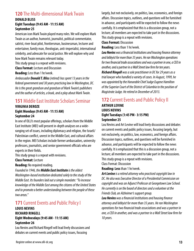### **120** The Multi-dimensional Mark Twain

#### **DONALD BLISS Eight Tuesdays (9:45 AM - 11:15 AM) September 25**

American icon Mark Twain played many roles. We will explore Mark Twain as an author, humorist, journalist, political commentator, satirist, river-boat pilot, frontiersman, businessman, lecturer and entertainer, family man, theologian, anti-imperialist, international celebrity, and advocate for social justice. We will explore why and how Mark Twain remains relevant today.

This study group is a repeat with revisions.

**Class Format:** Lecture and Discussion

**Reading:** Less than 1 hr/week.

*Ambassador Donald T. Bliss (retired) has spent 13 years in the federal government and 30 years practicing law in Washington, DC. He is the great grandson and grandson of Mark Twain's publishers and the author of articles, a book, and a play about Mark Twain.*

#### **151** Middle East Institute Scholars Seminar **VIRGINIA DEROZE**

#### **Eight Mondays (9:45 AM - 11:15 AM) September 24**

In one of OLLI's most popular offerings, scholars from the Middle East Institute (MEI) will present in-depth analyses on a wideranging set of issues, including diplomacy and religion, the Israeli/ Palestinian conflict, unrest in the Middle East, and cultural affairs in the region. MEI Scholars include former ambassadors, university professors, journalists, and senior government officials who are experts in their fields.

This study group is a repeat with revisions.

**Class Format:** Lecture

**Reading:** No required reading.

*Founded in 1946, the Middle East Institute is the oldest Washington-based institution dedicated solely to the study of the Middle East. Its founders laid out a simple mandate: "To increase knowledge of the Middle East among the citizens of the United States and to promote a better understanding between the people of these two areas."*

### **171 Current Events and Public Policy I**

#### **LOUIS NEVINS RICHARD RINGELL Eight Wednesdays (9:45 AM - 11:15 AM) September 26**

Lou Nevins and Richard Ringell will lead lively discussions and debates on current events and public policy issues, focusing

largely, but not exclusively, on politics, law, economics, and foreign affairs. Discussion topics, outlines, and questions will be furnished in advance, and participants will be expected to follow the news carefully. It is emphasized that this is a discussion group, not a lecture; all members are expected to take part in the discussions. This study group is a repeat with revisions.

#### **Class Format:** Discussion

**Reading:** Less than 1 hr/week.

*Lou Nevins was a financial institutions and housing finance attorney and lobbyist for more than 35 years. He ran Washington operations for two financial trade associations and was a partner in one, a CEO in another, and a partner in a Wall Street law firm for ten years. Richard Ringell was a sole practitioner in DC for 29 years as a trial lawyer who handled a variety of cases. In August, 1999, he was appointed by the Honorable Chief Judge Eugene Hamilton of the Superior Court of the District of Columbia to the position of Magistrate Judge. He retired in December of 2013.*

#### **172** Current Events and Public Policy II **ARTHUR LEVINE LOUIS NEVINS Eight Tuesdays (1:45 PM - 3:15 PM) September 25**

Lou Nevins and Art Levine will lead lively discussions and debates on current events and public policy issues, focusing largely, but not exclusively, on politics, law, economics, and foreign affairs. Discussion topics, outlines, and questions will be furnished in advance, and participants will be expected to follow the news carefully. It is emphasized that this is a discussion group, not a lecture; all members are expected to take part in the discussions. This study group is a repeat with revisions.

Class Format: Discussion

**Reading: Less** than 1 hr/week.

*Art Levine is a retired attorney who practiced copyright law in DC. He also was Executive Director of a Presidential Commission on copyright and was an Adjunct Professor at Georgetown Law School. He currently is on the board of directors and a volunteer at the Friends Club, an Alzheimer's support group.* 

*Lou Nevins was a financial institutions and housing finance attorney and lobbyist for more than 35 years. He ran Washington operations for two financial trade associations and was a partner in one, a CEO in another, and was a partner in a Wall Street law firm for 10 years.*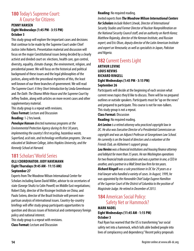### **180** Today's Supreme Court: A Course for Citizens

#### **PENNY HANSEN Eight Wednesdays (1:45 PM - 3:15 PM) October 3**

This study group will explore the important cases and decisions that continue to be made by the Supreme Court under Chief Justice John Roberts. Presentation material and discussion will focus on the major Constitutional issues being decided by a clearly activist and divided court on: elections, health care, gun control, diversity, equality, climate change, the environment, religion, and presidential power. We will focus on the historical and political background of these issues and the legal philosophies of the justices, along with the procedural mysteries of this, the least well known of our three branches of government. We will read *The Supreme Court: A Very Short Introduction* by Linda Greenhouse and *The Oath: The Obama White House and the Supreme Court* by Jeffrey Toobin, along with articles on more recent cases and other supplementary material.

This study group is a repeat with revisions.

**Class Format:** Lecture and Discussion **Reading:** 1-2 hrs/week.

*Penelope Hansen directed numerous programs at the Environmental Protection Agency during its first 30 years, implementing the country's first recycling, hazardous waste, Superfund, acid rain, and technology verification programs. She was educated at Skidmore College, Johns Hopkins University, and the Kennedy School at Harvard.*

### **181** Scholars' World Series

#### **OLLI COORDINATOR: JUDY HAVEMANN Eight Thursdays (9:45 AM - 11:15 AM) September 27**

Experts from The Woodrow Wilson International Center for Scholars including Aaron David Miller, advisor to six secretaries of state (George Shultz to Colin Powell) on Middle East negotiations; Robert Daly, director of the Kissinger Institute on China; and Paulo Sotero, director of the Brazil Institute will present nonpartisan analysis of international issues. Country-by-country briefings will offer study group participants opportunities to question and discuss issues of historical and contemporary foreign policy and national interest.

This study group is a repeat with revisions. **Class Format:** Lecture and Discussion

#### **Reading:** No required reading.

*Invited experts from The Woodrow Wilson International Centers for Scholars include Robert Litwak, Director of International Security Studies and Former Director of Nuclear Nonproliferation on the National Security Council staff, and an authority on North Korea; Matthew Rojansky, director of the Kennan Institute, and Russian expert; and Eric Olson, deputy director of the Latin American Institute and expert on Venezuela; as well as specialists in Japan, Pakistan and Nigeria.*

### **182** Current Events Light

#### **ARTHUR LEVINE LOUIS NEVINS RICHARD RINGELL Eight Wednesdays (1:45 PM - 3:15 PM) September 26**

Participants will decide at the beginning of each session what current news topics they'd like to discuss. There will be no prepared outlines or outside speakers. Participants must be "up on the news" and prepared to participate. This course is not for non-talkers. This study group is not a repeat.

#### **Class Format:** Discussion

**Reading:** No required reading.

*Art Levine is a retired attorney who practiced copyright law in DC. He also was Executive Director of a Presidential Commission on copyright and was an Adjunct Professor at Georgetown Law School. He currently is on the board of directors and a volunteer at the Friends Club, an Alzheimer's support group.* 

*Lou Nevins was a financial institutions and housing finance attorney and lobbyist for more than 35 years. He ran Washington operations for two financial trade associations and was a partner in one, a CEO in another, and a partner in a Wall Street law firm for ten years. Richard Ringell was a sole practitioner in DC for 29 years as a trial lawyer who handled a variety of cases. In August, 1999, he was appointed by the Honorable Chief Judge Eugene Hamilton of the Superior Court of the District of Columbia to the position of Magistrate Judge. He retired in December of 2013.*

### **184** American Social Policy: Safety Net or Hammock?

#### **MARK NADEL Eight Wednesdays (11:45 AM - 1:15 PM) October 3**

Paul Ryan has warned that the US is transforming "our social safety net into a hammock, which lulls able bodied people into lives of complacency and dependency." Recent policy proposals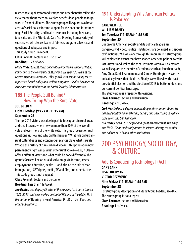restricting eligibility for food stamps and other benefits reflect the view that without coercion, welfare benefits lead people to forgo work in favor of idleness. This study group will explore two broad areas of social policy: income support for the poor and for retirees (e.g., Social Security) and health insurance including Medicare, Medicaid, and the Affordable Care Act. Drawing from a variety of sources, we will discuss issues of fairness, program solvency, and questions of adequacy and impact.

This study group is a repeat.

**Class Format:** Lecture and Discussion **Reading:** 1-2 hrs/week.

*Mark Nadel taught social policy at Georgetown's School of Public Policy and at the University of Maryland. He spent 20 years at the Government Accountability Office (GAO) with responsibility for its reports on health policy and welfare programs. He also has been an associate commissioner at the Social Security Administration.*

### **185** The People Still Behind? How Trump Won the Rural Vote

#### **JOE BELDEN Eight Tuesdays (9:45 AM - 11:15 AM) September 25**

Trump's 2016 victory was due in part to his support in rural areas and small towns, where he won more than 60% of the overall vote and even more of the white vote. This group focuses on such questions as: How and why did this happen? What role did urbanrural cultural gaps and economic grievances play? What is rural? What is the history of rural-urban divides? Is this population now permanently right wing? What other rural voices—e.g., NGOs offer a different view? And what could be done differently? The group's focus will be on rural disadvantages in income, assets, employment, education, health—and also on the role of race, immigration, LGBT rights, media, TV and film, and other factors. This study group is not a repeat.

**Class Format:** Lecture and Discussion **Reading:** Less than 1 hr/week.

*Joe Belden was Deputy Director of the Housing Assistance Council, 1989-2015, and also worked on Capitol Hill and at the USDA. He is the author of* Housing in Rural America, Dirt Rich, Dirt Poor, *and other publications.*

### **191** Understanding Why American Politics Is Polarized

#### **CARL WEICHEL WILLIAM DANEY Ten Tuesdays (11:45 AM - 1:15 PM) September 25**

Our diverse American society and its political leaders are dangerously divided. Political institutions are polarized and appear dysfunctional. Will we work through this morass? This study group will explore the events that have shaped American politics over the last 50 years and stoked the tribal instincts within our electorate. We will explore the theories of academics such as Jonathan Haidt, Amy Chua, Daniel Kahneman, and Samuel Huntington as well as look at key issues that divide us. Finally, we will review the past presidential election and the election of 2018 to better understand our current political landscape.

This study group is a repeat with revisions.

**Class Format:** Lecture and Discussion

**Reading:** 2 hrs/week.

*Carl Weichel has a degree in marketing and communications. He has held positions in marketing, design, and advertising in Sydney, Cape Town and San Francisco.* 

*Bill Daney has a BSEE degree and spent his career with the Navy and NASA. He has led study groups in science, history, economics, and politics at OLLI and other institutions.*

## 200 PSYCHOLOGY, SOCIOLOGY, & CULTURE

#### Adults Conquering Technology I (Act I) **GARY CAHN LISA FRIEDMAN VICTOR REZMOVIC Nine Fridays (11:45 AM - 1:15 PM) September 28** For study group description and Study Group Leaders, see 445. This study group is not a repeat. **Class Format:** Lecture and Discussion **Reading:** 1 hr/week.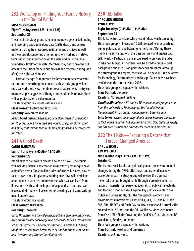### **232** Workshop on Finding Your Family History in the Digital World

#### **SUSAN GOODMAN Eight Tuesdays (9:45 AM - 11:15 AM) September 25**

The aim of this study group is to help members get started finding and recording basic genealogy data (birth, death, and census material); using free resources in libraries and archives as well as the internet; contacting other researchers working on related families; posting information on the web; and determining a "confidence level" for the data. Members may opt to give the SGL access to their trees for help during class and by email during (and after) the eight-week course.

Format change: As requested by former members who want to continue researching their ancestry, this study group will be run as a workshop. New members are also welcome. Ancestry.com membership is suggested although not required. Demonstrations will be projected on a video monitor.

This study group is a repeat with revisions.

**Class Format:** Lecture and Discussion **Reading:** No required reading.

*Susan Goodman has been doing genealogy research as a hobby for 15 years. Before she retired, she worked as a journalist in print and radio, contributing features to NPR programs and news reports for WAMU.*

### **241** A Good Death

#### **CAROL HAUSMAN Eight Thursdays (9:45 AM - 11:15 AM) September 27**

We all have to die, so let's discuss how to do it well. The course will include practical and emotional aspects of preparing to have a dignified death. Topics will include: unfinished business; how to talk to loved ones; forgiveness; writing an ethical will; decisions about when to stop treatment; suicide; what we can learn from illness and death; and the impact of a good death on those we leave behind. There will be some short readings and some writing in and out of class.

This study group is a repeat.

**Class Format:** Discussion

**Reading:** 1 hr/week.

*Carol Hausman is a clinical psychologist and gerontologist. She has been on the faculties of Georgetown School of Medicine, Washington School of Psychiatry, and other institutions. In addition to having taught this course twice before for OLLI, she has also taught Aging and Literature and Writing Your Ethical Will.*

### **250** TED Talks

#### **CAROLINE MINDEL LYNN LEWIS Eight Tuesdays (9:45 AM - 11:15 AM) September 25**

TED Talks feature speakers who present "ideas worth spreading." This study group will focus on 16 talks related to issues such as aging, polarization, and listening to the "other." During these highly interactive sessions, the class will view and discuss two talks weekly. Participants are encouraged to preview the talks in advance. Individual members will be asked to prepare brief background and discussion points for each presenter. Although this study group is a repeat, the talks will be new. TED (an acronym for Technology, Entertainment and Design) Talk videos have been available on the Internet since 2007.

This study group is a repeat with revisions.

**Class Format:** Discussion

**Reading:** No required reading.

*Caroline Mindel has a BA and an MSW in community organization from the University of Pennsylvania. She founded Mindel Management, Inc., a property management business in DC. Lynn Lewis received an undergraduate degree from the University of Michigan and has an MA in journalism from Ohio State University. She has been a writer and an editor for more than four decades.*

### **252** The 1960s—Exploring a Decade that Forever Changed America

#### **CARL WEICHEL KIM WEICHEL Nine Wednesdays (11:45 AM - 1:15 PM) October 3**

The tectonic social, cultural, political, global, and environmental changes during the 1960s affected all and ushered in a new era for America. This study group will review the significant historical changes brought to life through a broad selection of reading materials from seasoned journalists, public intellectuals, and leading historians. We'll explore key political events in civil rights and voters' rights, plus the free speech, women's, and environmental movements; lives of JFK, RFK, LBJ, and MLK; the SDS, ERA, NAACP, and Earth Day political events; and cultural shifts created with LSD, pot, and the Pill. We'll view videos segments from CNN's "The Sixties" covering the Cold War, Cuba, Vietnam, IRA, Woodstock, Beatles, and more.

This study group is a repeat with revisions. **Class Format:** Reading and Discussion **Reading:** 2-3 hrs/week.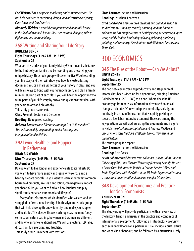*Carl Weichel has a degree in marketing and communications. He has held positions in marketing, design, and advertising in Sydney, Cape Town, and San Francisco.* 

*Kimberly Weichel is a social entrepreneur and nonprofit leader in the fields of women's leadership, cross cultural dialogue, citizen diplomacy, and peacebuilding.*

### **258** Writing and Sharing Your Life Story

#### **ROBERTA BENOR**

#### **Eight Thursdays (11:45 AM - 1:15 PM) September 27**

What are the stories of your family history? You can add substance to the limbs of your family tree by recording and preserving your unique history. This study group will cover the five Ws of recording your life story and then will show you how to create a lasting document. You can share vignettes of your history in class, and you will learn ways to bond with your grandchildren, and plan a family reunion. During part of each class, you will have the opportunity to write parts of your life story by answering questions that deal with your chronology and philosophy.

This study group is a repeat.

**Class Format:** Lecture and Discussion

**Reading:** No required reading.

*Roberta Benor records life stories through "Let Us Remember." She lectures widely on parenting, senior housing, and intergenerational activities.*

### **292** Living Healthier and Happier in Retirement

#### **BRAD BICKFORD Nine Thursdays (1:45 PM - 3:15 PM) September 27**

Do you want to live longer and experience life to its fullest? Do you want to have more energy and learn why exercise and a healthy diet are critical? Do you want to learn about what common household products, like soap and lotion, can negatively impact your health? Do you want to find out how laughter and play significantly enhance your mood and lifespan?

Many of us left careers which identified who we are, and we struggled to form a new identity. Join this dynamic study group that will help develop this new identity, and make you happier and healthier. This class will cover such topics as the mind/body connection, nature bathing, how men and women are different, and how to enhance relationships. We will use lecture, TED Talks, discussion, fun exercises, and laughter.

This study group is a repeat with revisions.

**Class Format:** Lecture and Discussion **Reading:** Less than 1 hr/week.

*Brad Bickford is a semi-retired therapist and grandpa, who has studied improv, stand-up comedy, painting, and the hammer dulcimer. He has taught classes in healthy living, sex education, grief work, and fly fishing. Brad enjoys playing pickleball, gardening, painting, and carpentry. He volunteers with Widowed Persons and Sierra Club.*

## 300 ECONOMICS

### **345** The Rise of the Robot—Can We Adjust? **LEWIS COHEN Eight Tuesdays (11:45 AM - 1:15 PM) September 25**

The gap between increasing productivity and stagnant real incomes has been widening for a generation, bringing America's Goldilocks era (1950–1980) to an end. Where does the US economy go from here, as information-driven technological change accelerates? Can we adapt economically, socially, and politically in an era of innovation that is rapidly pushing us toward a less labor-intensive economy? Those are among the key questions we will address using the arguments and insights in Nick Srnicek's *Platform Capitalism* and Andrew McAfee and Erik Brynjolfsson's *Machine, Platform, Crowd: Harnessing Our Digital Future.*

This study group is a repeat.

**Class Format:** Lecture and Discussion **Reading:** 2 hrs/week.

*Lewis Cohen earned degrees from Columbia College, Johns Hopkins University (SAIS), and Harvard University (Kennedy School). He was a Peace Corps Volunteer in Tunisia, a Foreign Service Officer and Trade Negotiator with the Office of the US Trade Representative, and a consultant on international trade for a major DC law firm.*

### **348** Development Economics and Practice for Non-Economists

#### **ANDERS ZEIJLON Eight Thursdays (11:45 AM - 1:15 PM) September 27**

This study group will provide participants with an overview of the history, trends, and issues in the practice and economics of international development. Following an introductory overview, each session will focus on a particular issue, include a brief lecture and video clip or handout, and be followed by a discussion. Likely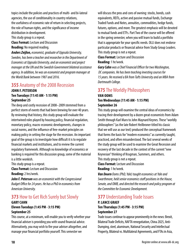topics include the policies and practices of multi- and bi-lateral agencies, the use of conditionality in country relations, the usefulness of economic rate of return in selecting projects, the role of human rights, and the significance of income distribution in development.

This study group is a repeat.

**Class Format:** Lecture and Discussion **Reading:** No required reading.

*Anders Zeijlon, economist, graduate of Uppsala University, Sweden, has been a teacher and researcher in the Department of Economics at Uppsala University, and an economist and project manager at the UN and the Swedish Government bilateral assistance agency. In addition, he was an economist and program manager at the World Bank between 1987 and 2016.*

### **355** Anatomy of the 2008 Recession

#### **JOHN F. PETERSON Ten Tuesdays (11:45 AM - 1:15 PM) September 25**

The deep and costly recession of 2008–2009 stemmed from a perfect storm of events that had been brewing for over 40 years. By reviewing that history, this study group will evaluate the intertwined roles played by housing policy, financial regulation, monetary policy, macro-economic developments, changes in social norms, and the influence of free-market principles on making policy in setting the stage for the recession. An important goal of the group is to investigate how difficult it is to regulate financial markets and institutions, and to review the current regulatory framework. Although no knowledge of economics or banking is required for this discussion group, some of the material is a little wonkish.

This study group is a repeat.

**Class Format:** Lecture and Discussion **Reading:** 2 hrs/week.

*John F. Peterson was an economist with the Congressional Budget Office for 24 years. He has a PhD in economics from American University.*

#### **373** How to Get Rich Surely but Slowly **GARY CAHN**

### **Eleven Tuesdays (1:45 PM - 3:15 PM) September 25**

This course, at a minimum, will enable you to verify whether your financial adviser is providing you with sound financial advice. Alternatively, you may wish to fire your adviser altogether, and manage your financial portfolio yourself. This semester we

will discuss the pros and cons of owning: stocks, bonds, cash equivalents, REITs, active and passive mutual funds, Exchange Traded Funds and Notes, annuities, commodities, hedge funds, futures, options, and more. The greatest emphasis will be devoted to mutual funds and ETFs. Part Two of the course will be offered in the spring semester, when you will learn to build a portfolio that is appropriate for your specific needs. OLLI does not endorse particular products or financial advice from Study Group Leaders. This study group is not a repeat.

**Class Format:** Lecture and Discussion **Reading:** 1 hr/week.

*Gary Cahn was a Chief Financial Officer for two Washington, DC companies. He has been teaching investing courses for 15 years. He received a BA from Tufts University and an MBA from Dartmouth College.*

### **375** The Worldly Philosophers

#### **VAN OOMS Ten Wednesdays (11:45 AM - 1:15 PM) September 26**

This study group will examine the central ideas of economics by tracing their development by a dozen great economists from Adam Smith through Karl Marx to John Maynard Keynes. These "worldly philosophers" (as the late Robert Heilbroner titled his classic that we will use as our text) produced the conceptual framework that forms the basis for "modern economics" as currently taught, practiced, and often misunderstood. The last several weeks of the study group will be used to examine the Great Recession and recovery of the last decade in the context of the current "new Keynesian" thinking of Krugman, Summers, and others. This study group is not a repeat.

**Class Format:** Lecture and Discussion **Reading:** 1 hr/week.

*Van Doorn Ooms (PhD, Yale) taught economics at Yale and Swarthmore, held senior economics staff positions in the House, Senate, and OMB, and directed the research and policy program at the Committee for Economic Development.*

#### **377 Understanding Trade Issues P. LANCE GRAEF Ten Thursdays (1:45 PM - 3:15 PM) September 27**

Trade issues continue to appear prominently in the news: Brexit, Bilateral Trade Deficits, NAFTA renegotiation, China 2025, Anti-Dumping, steel, aluminum, National Security and Intellectual Property, Bilateral vs. Multilateral Agreements, and FTAs in Asia,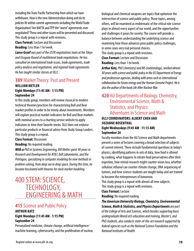including the Trans Pacific Partnership from which we have withdrawn. How is the new Administration doing and do its policies fit within current agreements including the World Trade Organization? Are NAFTA and TPP the "worst" agreements ever negotiated? These and other issues will be presented and discussed. This study group is a repeat with revisions.

**Class Format:** Lecture and Discussion **Reading:** Less than 1 hr/week.

*Lance Graef was part of the USTR negotiations team at the Tokyo and Uruguay Round of multilateral trade negotiations. He has consulted on international trade issues, trade agreements, trade policy analysis and negotiation, and regional trade agreements. He has taught similar classes at OLLI.*

#### **389** Market Theory: Past and Present **WILLIAM METLER Eight Mondays (11:45 AM - 1:15 PM)**

#### **September 24**

In this study group, members will review classical to modern technical theories/practices for characterizing Bull and Bear market profiles in order to be timely about investments. Members will explore practical market indicators for Bull and Bear markets with nominal access to a charting service website to apply indicators to time their favorite stocks. OLLI does not endorse particular products or financial advice from Study Group Leaders. This study group is a repeat.

#### **Class Format:** Discussion

#### **Reading:** No required reading.

*With a PhD in Systems Engineering, Bill Metler spent 40 years in Research and Development for AT&T, Bell Laboratories, and the Pentagon, specializing in computer modeling for new methods in problem solving, from deep sea to deep space. During this time, he became fascinated with theories for stock market modeling.*

## 400 STEM: SCIENCE, TECHNOLOGY, ENGINEERING & MATH

### **415** Science and Public Policy **ARTHUR KATZ**

#### **Eight Mondays (11:45 AM - 1:15 PM) September 24**

Personalized medicine, climate change, artificial intelligence/ machine learning, cybersecurity, and the proliferation of nuclear, biological and chemical weapons are topics that epitomize the intersection of science and public policy. These topics, among others, will be examined as emblematic of the critical role science plays in almost every aspect of our world, and the opportunities and challenges it poses for society. The course will provide a balance between understanding the underlying science and examining how those advances pose public policy challenges, in some cases very real personal choices. This study group is a repeat with revisions.

**Class Format:** Lecture and Discussion

**Reading:** Less than 1 hr/week.

*Arthur Katz, PhD (chemistry) and MS (meteorology), worked almost 40 years with science and public policy in the US Department of Energy and predecessor agencies, dealing with areas such as international collaboration for fusion energy and the Human Genome Project. He is also the author of the book Life After Nuclear War.*

#### **420** AU Departments of Biology, Chemistry, Environmental Science, Math & Statistics, and Physics: Adventures in Science and Math

#### **OLLI COORDINATORS: ALBERT CHEH AND SUZANNE ROSENTHAL Eight Wednesdays (9:45 AM - 11:15 AM) September 26**

Faculty members from the AU Science and Math departments present a series of lectures covering a broad selection of subjects of current interest. These include fundamental questions in today's physics, identifying patterns in sets of data, how food is altered by cooking, what happens to nitrate food preservatives after their ingestion, how retinal research might counter vision loss, whether cellulosic ethanol can counter climate change, DNA sequencing of tumors, and how science students are taught today and are trained to become the entrepreneurs of tomorrow.

This study group is a repeat with almost all new subjects.

This study group is a repeat with revisions.

**Class Format:** Lecture

**Reading:** No required reading.

*The American University Biology, Chemistry, Environmental Science, Math & Statistics, and Physics Departments are part of the College of Arts and Sciences, which besides supporting basic undergraduate liberal arts education and training, Master's, and PhD students, also conducts state-of-the-art research supported by federal agencies such as the National Science Foundation and the National Institutes of Health.*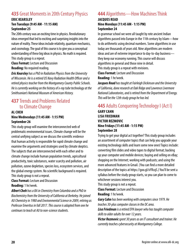### **435** Great Moments in 20th Century Physics

#### **ERIC KEARSLEY Ten Tuesdays (9:45 AM - 11:15 AM) September 25**

The 20th century was an exciting time in physics. Revolutionary ideas emerged that led to exciting and surprising insights into the nature of reality. These ideas include relativity, quantum mechanics, and cosmology. The goal of this course is to give you a conceptual understanding of these big ideas in physics. No math is required. This study group is a repeat.

**Class Format:** Lecture and Discussion

**Reading:** No required reading.

*Eric Kearsley has a PhD in Radiation Physics from the University of Wisconsin. He is a retired US Navy Radiation Health Officer and a retired physics teacher from the Montgomery County Public Schools. He is currently working on the history of x-ray tube technology at the Smithsonian's National Museum of American History.*

### **437** Trends and Problems Related to Climate Change

#### **AL CHEH Nine Wednesdays (11:45 AM - 1:15 PM) September 26**

This study group will examine the interconnected web of problematic environmental issues. Climate change will be the central unifying subject as we discuss the scientific evidence that human activity is responsible for rapid climate change and examine the arguments and strategies used by climate skeptics. The subjects that are interconnected with each other and to climate change include human population trends, agricultural productivity, toxic substances, water scarcity and pollution, air pollution, ozone depletion, species loss, ecosystem services, and the global energy system. No scientific background is required. This study group is not a repeat.

**Class Format:** Lecture and Discussion **Reading:** 1 hr/week.

*Albert Cheh has a BA in Chemistry from Columbia and a PhD in Biochemistry from the University of California at Berkeley. He joined AU Chemistry in 1980 and Environmental Science in 2009, retiring as Professor Emeritus in fall 2017. This course is adapted from one he continues to teach at AU to non-science students.*

### **444** Algorithms—How Machines Think

#### **JACQUES READ Nine Mondays (11:45 AM - 1:15 PM) September 24**

In grammar school we were all taught by rote ancient Indian algorithms passed into Europe in the 11th century by Islam—how to do arithmetic using decimal numbers. Some algorithms in use today are thousands of years old. Nine algorithms are modern ideas and are of extreme importance to day-to-day business they keep our economy running. This course will discuss algorithms in general and those nine in detail. This study group is a repeat with revisions.

**Class Format:** Lecture and Discussion **Reading:** 1 hr/week.

*Jacques Read has taught at Fairleigh Dickinson and the University of California, done research at Oak Ridge and Lawrence Livermore National Laboratories, and is retired from the Department of Energy. This will be the 12th study group he has led.*

### **445** Adults Conquering Technology I (Act I)

#### **GARY CAHN LISA FRIEDMAN VICTOR REZMOVIC Nine Fridays (11:45 AM - 1:15 PM) September 28**

Trying to get your digital act together? This study group includes an assortment of computer topics that can help you upgrade your existing technology skills and learn some new ones! Topics include: converting film slides and video tapes to digital format; backing up your computer and mobile devices; buying and selling on eBay; shopping on the Internet; working with podcasts; and using the more advanced features in Gmail. (You can find a more detailed description of the topics at https://goo.gl/xYRcqS.) You'll be sent a syllabus before the study group starts, so you can plan to come to whichever sessions interest you.

This study group is not a repeat.

**Class Format:** Lecture and Discussion

**Reading:** 1 hr/week.

*Gary Cahn has been working with computers since 1979. He teaches 30-plus computer classes in the DC area.* 

*Lisa Friedman is a retired EPA lawyer who has taught computer skills to older adults for over 12 years.* 

*Victor Rezmovic spent 30 years as an IT consultant and trainer. He currently teaches cybersecurity at Montgomery College.*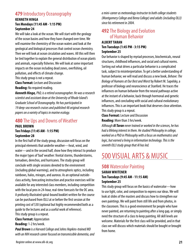### **479** Introductory Oceanography

#### **KENNETH HINGA Ten Mondays (11:45 AM - 1:15 PM) September 24**

We will take a look at the ocean. We will start with the geology of the ocean basins and how they have changed over time. We will examine the chemistry of the ocean waters and look at the geological and biological processes that control ocean chemistry. Then we will look at ocean circulation and waves. All this will then be tied together to explain the general distribution of ocean plants and animals, especially fisheries. We will look at some important impacts on the ocean including dead zones, overfishing, oil pollution, and effects of climate change.

This study group is not a repeat.

**Class Format:** Lecture and Discussion

**Reading:** No required reading.

*Kenneth Hinga, PhD, is a retired oceanographer. He was a research scientist and assistant dean at the University of Rhode Island's Graduate School of Oceanography. He has participated in 19 deep-sea research cruises and published 48 original research papers on a variety of topics in marine ecology.*

#### **480** The Ups and Downs of Weather **PAUL BROWN**

#### **Ten Fridays (11:45 AM - 1:15 PM) September 28**

In the first half of the study group, discussion will focus on the principal elements that underlie weather—heat, wind, and water—and in the second half, show how they interact to produce the major types of 'bad' weather: frontal storms, thunderstorms, tornadoes, derechos, and hurricanes. The study group will conclude with single sessions devoted to the environment (including global warming), and to atmospheric optics, including rainbows, halos, mirages, and auroras. As an optional outsideclass activity, forecasting instruction and practice exercises will be available for any interested class members, including competition with the local pros in 24-hour, real-time forecasts for the DC area. A profusely illustrated spiral-bound booklet written for the course can be purchased from OLLI at or before the first session at the printing cost of \$30 (optional but highly recommended both as a guide to the lectures and as a useful work of reference).

This study group is a repeat.

**Class Format:** Appreciation

**Reading:** 1-2 hrs/week.

*Paul Brown is a Harvard College and Johns Hopkins-trained MD with an NIH research career focused on transmissible dementia, and*  *a mini-career as meteorology instructor to both college students (Montgomery College and Berea College) and adults (including OLLI) since his retirement in 2004.*

### **492** The Biology and Evolution of Human Behavior

#### **ALBERT TARAN Ten Tuesdays (1:45 PM - 3:15 PM) September 25**

Our behavior is shaped by myriad processes, biochemicals, neural structures, childhood influences, and social and cultural norms. Sorting out what drives a particular behavior is a complicated task, subject to misinterpretation. To get a better understanding of human behavior, we will read and discuss a new book, *Behave: The Biology of Humans at Our Best and Worst* by Robert M. Sapolsky, a professor of biology and neuroscience at Stanford. He traces the influences on human behavior from the neural pathways active at the instant of a behavior, back through hormonal and genetic influences, and concluding with social and cultural evolutionary influences. This is an important book that deserves close attention. This study group is a repeat.

**Class Format:** Lecture and Discussion

**Reading:** More than 3 hrs/week.

*Although Al Taran never trained or worked in the sciences, he has had a lifelong interest in them. He studied Philosophy in college, worked on a PhD in Philosophy with a focus on mathematics and logic, but earned a living in information technology. This is the seventh OLLI study group that Al has led.*

## 500 VISUAL ARTS & MUSIC

### **508** Watercolor Painting

#### **SARAH WHITENER Ten Tuesdays (9:45 AM - 11:15 AM) September 25**

This study group will focus on the basics of watercolor—how to use light, color, and composition to express our ideas. We will look at slides of the masters and discuss how to strengthen our own paintings. We will paint from still life and from photos, in the classroom. This is a good environment for people who have never painted, are returning to painting after a long gap, or simply need the structure of a class to keep painting. All skill levels are welcome. Materials for the first class will be provided, and in that class we will discuss which materials should be bought or brought from home.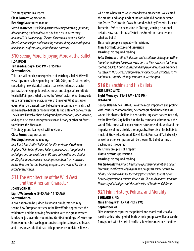This study group is a repeat. **Class Format:** Appreciation **Reading:** No required reading.

*Sarah Whitener is a lifelong artist who enjoys drawing, painting, block printing, and needlework. She has a BA in Art History and an MA in Archaeology. She has illustrated a book on Native American stone pipes and a cooking manual, designed knitting and needlepoint projects, and painted house portraits.*

### **510** Seeing More, Enjoying More at the Ballet **ILSA BUSH**

#### **Ten Wednesdays (1:45 PM - 3:15 PM) September 26**

This class will enrich your experience of watching a ballet. We will view clips from ballets spanning the 19th, 20th, and 21st centuries, considering how historical context, dance technique, character portrayal, choreographic devices, music, and stagecraft contribute to a ballet's impact. What creates the "Wow" factor? What transports us to a different time, place, or way of thinking? What puts us on edge? What do classical story ballets have in common with abstract non-narrative ballets or modern works fusing different dance styles? The class will involve short background presentations, video viewing, and open discussion. Bring your views on history or other art forms to enhance the discussion.

This study group is a repeat with revisions.

**Class Format:** Appreciation

#### **Reading:** No required reading.

*Ilsa Bush has studied ballet all her life, performed with New England Civic Ballet (Boston Ballet's predecessor), taught ballet technique and dance history at DC area universities and studios for 20-plus years, received teaching credentials from American Ballet Theatre's teacher training program, and worked for dance record preservation.*

### **511** The Architecture of the Wild West and the American Character

#### **JOHN VORHES Eight Wednesdays (9:45 AM - 11:15 AM) September 26**

A civilization can be judged by what it builds. We begin by seeing how European settlers in the New World approached the wilderness and the growing fascination with the great western landscape just over the mountains. Our first buildings reflected our European roots but we began constructing forts, towns, railroads, and cities on a scale that had little precedence in history. It was a

wild time where rules were secondary to prospering. We cleared the prairies and rangelands of Indians who did not understand our fences. The "frontier" was declared ended by Frederick Jackson Turner in 1893 at an exposition in Chicago, starting a national debate. How has this era affected the American character and what we build?

This study group is a repeat with revisions. **Class Format:** Lecture and Discussion **Reading:** No required reading.

*John Vorhes is a retired industrial and architectural designer with a love affair with the American West. Born in New York City, his family roots go back to frontier Kansas and his personal research expanded his interest. His 50-year design career includes SOM, architects in NY, and USIA's Cultural Exchange Program in Washington.*

### **516 Balanchine and His Ballets**

#### **IRIS LIPKOWITZ Eight Mondays (11:45 AM - 1:15 PM) October 8**

George Balanchine (1904-83) was the most important and prolific 20th-century choreographer; he choreographed more than 400 works. His abstract ballets in neoclassical style are danced not only by the New York City Ballet but also by companies throughout the world. This course will expose students to some of his work and the importance of music to his choreography. Excerpts of his ballets to music of Stravinsky, Gounod, Ravel, Bizet, Faure, and Tschaikovsky as well as other composers will be shown. No ballet or music background is required.

This study group is not a repeat.

**Class Format:** Appreciation

**Reading:** No required reading.

*Iris Lipkowitz is a retired Treasury Department analyst and ballet lover whose collection of playbills and programs resides at the AU Library. She studied dance for many years and has taught ballet history/appreciation courses since 2004. She holds degrees from the University of Michigan and the University of Southern California.*

### **521** Film: History, Politics, and Morality

#### **LEONARD KING Nine Fridays (11:45 AM - 1:15 PM) September 28**

Film sometimes captures the political and moral conflicts of a particular historical period. In this study group, we will analyze the films paired with historical conflicts. Members must see the films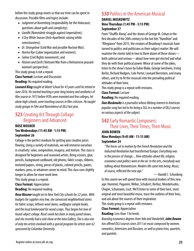before the study group meets so that our time can be spent in discussion. Possible films and topics include:

- *Judgment at Nuremberg* (responsibility for the Holocaust; questions about guilt and complicity);
- *Gandhi* (Nonviolent struggle against Imperialism);
- *A Dry White Season* (Anti-Apartheid; raising white consciousness);
- *Dr. Strangelove* (Cold War and possible Nuclear War);
- *Norma Rae* (Labor organization and women);
- *Selma* (Civil Rights movement); and
- *Heaven and Earth* (Vietnam War from a Vietnamese peasant woman's perspective).

This study group is not a repeat.

**Class Format:** Lecture and Discussion

**Reading:** No required reading.

*Leonard King taught at Maret School for 43 years until he retired in June 2016. He started teaching a year-long history and aesthetics of film course in 1973 before VCRs were invented and few colleges, let alone high schools, were teaching courses in film criticism. He taught study groups in Film and Nonviolence at OLLI last year.*

### **523** Creating Art Through Collage: Beginners and Advanced

#### **ROSE MOSNER Ten Wednesdays (11:45 AM - 1:15 PM) September 26**

Collage is the perfect medium for getting your creative juices flowing. Using a variety of materials, we will immerse ourselves in creativity: color, composition, imagery, and texture. This class is designed for beginners and seasoned artists. Bring scissors, glue, pencils, background cardboard, old photos, fabric scraps, ribbons, textured papers, string, pieces of plastic, colored pencils, paints, markers, pens, or whatever comes to mind. This class runs slightly longer to allow for more work time.

This study group is a repeat.

#### **Class Format:** Appreciation

**Reading:** No required reading.

*Rose Mosner taught art in New York City schools for 22 years. With budgets for supplies very low, she canvassed neighborhood stores for fabric scraps, leftover wool skeins, wallpaper sample books, and the local lumberyard for wood scraps. Thus began her love of found-object collage. Rose's work has been in many juried shows, and she recently had a solo show at the Iona Gallery. She is also one of only ten artists involved with a special program for artists over 62 sponsored by Columbia University.*

### **530** Politics in the American Musical

#### **DANIEL MOSKOWITZ Nine Thursdays (1:45 PM - 3:15 PM) September 27**

From "Shuffle Along" and the shows of George M. Cohan in the first decades of the 20th century to the hot hits "Hamilton" and "Allegiance" from 2015, the creators of Broadway's musicals have turned to politics and politicians as their subject matter. We will examine the stories told in two to three dozen of these shows both satirical and serious—about how men get elected and what they do with their political power. Wince at some of the jokes, listen to the show's tunes by Eubie Blake, George Gershwin, Irving Berlin, Richard Rodgers, Cole Porter, Leonard Bernstein, and many others, and try to fit the musicals into the prevailing political attitudes of their time.

This study group is a repeat with revisions.

**Class Format:** Lecture

**Reading:** No required reading.

*Dan Moskowitz is a journalist whose lifelong interest in American popular song has led to his being a SGL in a number of OLLI courses on various aspects of the subject.*

### **542 Early Romantic Composers:** Their Lives, Their Times, Their Music

#### **JOHN BOWEN Nine Mondays (9:45 AM - 11:15 AM) September 24**

*"The forces set in motion by the French Revolution and the Industrial Revolution had transformed Europe. Everything was in the process of change.... New attitudes about life, religion, economics and politics were in the air. In the arts, everybody was talking about Romanticism. Modern life came into being. Music, of course, reflected the new age."* — Harold C. Schonberg

In this course we will spend time with musical leaders of this new age: Hummel, Paganini, Weber, Schubert, Berlioz, Mendelssohn, Chopin, Schumann, Liszt. We'll listen to some of their best, most original and most beautiful music, trace the outlines of their lives, and ask about the sources of their inspiration.

This study group is a repeat with revisions.

**Class Format:** Appreciation

**Reading:** Less than 1 hr/week.

*Boasting economics degrees from Yale and Vanderbilt, John Bowen has offered OLLI courses since 2011 on music composed by women, romantics, Americans and Russians, as well as piano trios, quartets, and quintets.*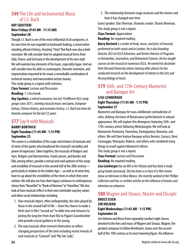### **549** The Life and Instrumental Music of J.S. Bach

#### **RAY SQUITIERI Nine Fridays (9:45 AM - 11:15 AM) September 28**

Though J.S. Bach is one of the most influential of all composers, in his own time he was regarded as backward-looking, a conservative standing athwart history, shouting "Stop!" But Bach was also a bold innovator. We will consider how he adapted musical forms from Italy, France, and Germany in the development of his own style. We will examine key elements of his music, especially fugue. And we will consider how his skills in counterpoint, thematic invention, and improvisation imparted to his music a remarkable combination of technical mastery and transcendent artistic beauty.

This study group is a repeat with revisions.

**Class Format:** Lecture and Discussion

**Reading:** 1-2 hrs/week.

*Ray Squitieri, a retired economist, has led 10 different OLLI study groups since 2011, covering classical music and opera, European history, Chinese history, and economic history. J.S. Bach has been his favorite composer for the last 55 years.*

### **577** Say It with Musicals

#### **BARRY BORTNICK Eight Tuesdays (11:45 AM - 1:15 PM) September 25**

The course is a celebration of the scope and richness of musicals and of some of the giants who broadened the musical's versatility and power of expression. Taken together, the musicals of Rodgers and Hart, Rodgers and Hammerstein, Frank Loesser, and Kander and Ebb, among others, provide a virtual and vivid epitome of the range and sensibility of musicals in the second half of the 20th century particularly in relation to the Golden Age—as well as of what they have to say about the sensibilities of the times in which they were written. We will also see how their legacy continues in contemporary shows from "Beautiful" to "Book of Mormon" to "Hamilton." We also look at how musicals reflect in their own inimitable way key values and other social relationships including:

- 1. How musicals depict, often unforgettably, the roles played by those in the second half of life—from the chance to make a fresh start in life's "second act" to older love and romance to joining the long line from Aunt Ella to Pippin's Grandmother who provide crucial guidance to the young,
- 2. The way musicals often reinvent themselves to reflect changing perspectives of the time including recent revivals of such musicals as "Carousel" and "My Fair Lady,"

3. The relationship between stage musicals and the movies and how it has changed over time.

Guest speaker: Dan Sherman. Dramatic reader: Sharon Newman. This study group is not a repeat.

**Class Format:** Appreciation

**Reading:** No required reading.

*Barry Bortnick is a writer of book, music, and lyrics of musicals performed on both coasts and in London. He is also founding Director, OLLI at UCLA Extension, and former Director of Programs in Humanities, Journalism, and Behavioral Sciences. He has taught courses on the musical at numerous OLLIs. He earned his doctorate from Harvard University where (among other places) he has conducted research on the development of interest in the arts and the psychology of music.*

### **579** 16th- and 17th-Century Mannerist and Baroque Art

#### **LISA LEINBERGER Eight Thursdays (11:45 AM - 1:15 PM) September 27**

Mannerist and Baroque Art was a deliberate contradiction of rules, defying strictures of Renaissance perfectionism in natural appearance. We will explore this divergence featuring 16th- and 17th-century artists following Michelangelo. We will look at Mannerists Pontormo, Fiorentino, Parmigianino, Bronzino, and others. We will then feature Baroque artists Bernini, Carracci, Reni, Caravaggio, Velasquez, Rubens, and others who combined many things to revolt against Mannerist elitism.

This study group is not a repeat.

**Class Format:** Lecture and Discussion **Reading:** No required reading.

*Lisa Leinberger has an MA in Art History and has been a study group leader previously. She has been a co-host of a film review show on television in New Mexico. She recently worked at the Phillips Collection and has co-written articles on the influence of movies and television on urbanism.*

#### **580** Wagner and Strauss: Master and Disciple **BRUCE EISEN JIM HOLMAN Eight Wednesdays (11:45 AM - 1:15 PM) September 26**

Jim Holman and Bruce Eisen separately conduct eight classes devoted to the lives and music of Wagner and Strauss. Wagner, the greatest composer to follow Beethoven, looms over the second half of the 19th century as its most towering figure. His influence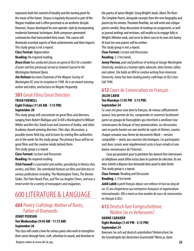represents both the summit of tonality and the turning point for the music of the future. Strauss is regularly discussed as part of the Wagner tradition and is often perceived as an aesthetic disciple. However, Strauss developed his own operatic style by incorporating modernist harmonic techniques. Both composers generated controversies that transcended their music. This course will illuminate essential aspects of their achievements and their impacts. This study group is not a repeat.

#### **Class Format:** Appreciation

**Reading:** No required reading.

*Bruce Eisen has conducted classes on opera at OLLI for a number of years and has previously served as General Counsel to the Washington National Opera.* 

*Jim Holman has been Chairman of the Wagner Society of Washington DC since its inception in 1998. He is an award-winning author and editor, and lectures on Wagner frequently.*

#### **581** Great Films/Great Directors

#### **TRISH FOXWELL Eight Fridays (11:45 AM - 1:15 PM) September 28**

This study group will concentrate on great films and directors, ranging from Robert Mulligan and *To Kill a Mockingbird* to William Wilder and *Ben Hur,* David Lean and *Lawrence of Arabia,* and other Academy-Award winning directors. Film clips, discussions, a possible movie field trip, and lectures by visiting film authorities are in the works for the study group. The primary focus will be on great films and the creative minds behind them.

This study group is a repeat.

**Class Format:** Lecture and Discussion

**Reading:** No required reading.

*Trish Foxwell is a journalist and author, specializing in literary sites, writers, and films. She contributed features on films and directors to various publications including:* The Washington Times, The Boston Globe, The Palm Beach Post, *and* The Los Angeles Times, *and was a travel writer for a variety of newspapers and magazines.*

## 600 LITERATURE & LANGUAGE

### **604** Poetry Craftshop: Mother of Roots, Father of Diamonds

#### **JENNY PIERSON Ten Wednesdays (9:45 AM - 11:15 AM) September 26**

This class will create a hive for serious poets who wish to strengthen their voices through form, craft, attention to sound, and devotion to the poetry of James Wright. Using Wright's book, *Above The River: The Complete Poems,* alongside excerpts from the new biography and poems by his mentor, Theodore Roethke, we will write and critique poems weekly. Deep discussions of readings on assignment, as well as journal writings and revisions, will enable us to engage fully in Wright's lifetime work, and serve to direct ours to its own rich honey. At least ten new poems will be written.

This study group is not a repeat.

**Class Format:** Lecture and Discussion **Reading:** 2-3 hrs/week.

*Jenny Pierson, poet and professor of writing at George Washington University, worked as a human rights advocate, dairy farmer, editor, and caterer. She holds an MFA in creative writing from American University. Jenny has been leading poetry craftshops at OLLI since Fall 1996.*

### **612** Cours de Conversation en Français

#### **JALEH LABIB Ten Mondays (1:45 PM - 3:15 PM) September 24**

Ce cours est pour ceux dont le français, de niveau suffisamment avancé, leur permet de lire, comprendre et converser facilement parmi un groupe de francophiles qui cherchent à améliorer leur connaissance du français et leur prononciation. Les discussions sont en partie basées sur une variété de sujets et thèmes, soumis chaque semaine sous forme de documents Word—version compatible—joints aux courriers électroniques. Les participants sont donc censés avoir régulièrement accès à leurs emails et une bonne connaissance de l'Internet.

Ceux qui postulent pour la première fois doivent être interviewés au téléphone avant d'être inclus dans le système de sélection. Ils ont donc intérêt à déposer leur demande bien avant la date limite. This study group is a repeat.

**Class Format:** Reading and Discussion **Reading:** 2-3 hrs/week.

*Jaleh Labib a parlé français depuis son enfance et tout au long de ses 35 ans d'expérience aux entreprises françaises et organisations internationales. Elle a mené un bon nombre de cours de conversation en français à OLLI.*

### **615** Deutsch fuer Fortgeschrittene. Wollen Sie es Verbessern?

#### **HANNE CARAHER Eight Mondays (1:45 PM - 3:15 PM) September 24**

Koennen Sie sich auf deutsch unterhalten? Beherrschen Sie die Grundregeln der deutschen Grammatik? Wenn ja, dann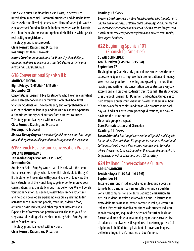sind Sie ein guter Kandidat fuer diese Klasse, in der wir uns unterhalten, manchmal Grammatik studieren und deutsche Texte (Kurzgeschichte, Novelle) uebersetzen. Hausaufgaben jede Woche eine oder zwei Stunden. Neue Teilnehmer werden vor der Lotterie ein telefonisches Interview untergehen; deshalb ist es wichtig, sich rechtzeitig zu registrieren.

This study group is not a repeat.

**Class Format:** Reading and Discussion **Reading:** Less than 1 hr/week.

*Hanne Caraher graduated from the University of Heidelberg, Germany, with the equivalent of a master's degree in conference interpreting and translation.*

### **618** Conversational Spanish II b

#### **MONICA GRIGERA Eight Fridays (9:45 AM - 11:15 AM) September 28**

Conversational Spanish II b is for students who have the equivalent of one semester of college or four years of high-school level Spanish. Students will increase fluency and comprehension and also learn about the language and the culture as they experience authentic writing styles of authors from different countries. This study group is a repeat with revisions.

**Class Format:** Reading and Discussion

**Reading:** 1-2 hrs/week.

*Monica Mendy Grigera is a native Spanish speaker and has taught from kindergarten to college and from Patagonia to Pennsylvania.*

### **619** French Review and Conversation Practice

#### **EVELYNE BONHOMME Ten Wednesdays (9:45 AM - 11:15 AM) September 26**

Antoine de Saint-Exupéry wrote that, "It is only with the heart that one can see rightly; what is essential is invisible to the eye." If this statement resonates with you and you wish to review the basic structures of the French language in order to improve your conversation skills, this study group may be for you. We will polish your pronunciation, as needed, review basic French structures, and help you develop an expanding vocabulary relating to fun activities such as meeting people, traveling, ordering food, obtaining basic services, and other topics of interest to you. Expect a lot of conversation practice as you also take your first steps toward reading selected short texts by Saint-Exupéry and other French writers.

This study group is a repeat with revisions. **Class Format:** Reading and Discussion

#### **Reading:** 1 hr/week.

*Evelyne Bonhomme is a native French speaker who taught French and French for Business at Bowie State University. She has more than 20 years of experience teaching French. She is a retired lawyer with a JD from the University of Pennsylvania and an MTS from Wesley Theological Seminary.*

### **622** Beginning Spanish 101 (Spanish for Smarties)

#### **SUSAN SCHNEIDER Ten Thursdays (1:45 PM - 3:15 PM) September 27**

This beginning Spanish study group allows students with some exposure to Spanish to improve their pronunciation and fluency. We stress oral practice—listening and speaking—more than reading and writing. This conversation course stresses everyday expressions and teaches students "street" Spanish. The study group uses the book, Spanish for Dummies, 2nd edition. Our goal is to help everyone order "chimichangas" flawlessly. There is an hour of homework for each class and those who practice more each day will find it easier to learn greetings, directions, and how to navigate the Latino culture.

This study group is a repeat.

**Class Format:** Lecture and Discussion **Reading:** 1 hr/week.

*Susan Schneider has taught conversational Spanish and English for decades. She started the ESL program for adults at the National Cathedral. She also was a Peace Corps Volunteer in El Salvador where she learned to speak Spanish in the barrio. She has a PhD in Linguistics, an MA in Education, and a BA in History.*

### **624** Italiano: Conversazione e Cultura

#### **ARRIGO MONGINI Ten Mondays (11:45 AM - 1:15 PM) September 24**

Tutte le classi sono in italiano. Gli student leggono a voce per turni da testi designati con enfasi sulla pronuncia e qualche volta sulla comprensione del testo, seguito da discussioni fra tutti gli studenti. Talvolta parliamo due a due. Le letture sono tratte dalla storia italiana, eventi correnti in Italia, o letteratura italiana. Presentazioni orali o multimedia da student individui sono incoraggiate, seguite da discussioni fra tutti nella classe. Raccomandiamo almeno un anno di preparazione accademica di italiano o l' equivalente di esperienza. Il nostro oggettivo è di migliorare l' abilità di tutti gli student di conversare in questa bellissima lingua in un' atmosfera di buon' umore.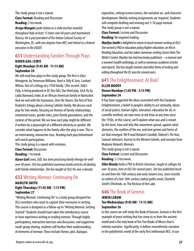This study group is not a repeat. **Class Format:** Reading and Discussion **Reading:** 2 hrs/week.

*Arrigo Mongini spoke Italian as a child and has traveled throughout Italy at least 15 times over 60 years and maintained fluency. He is past president of the Italian Cultural Society of Washington, DC, with two degrees from MIT, and retired as a federal executive in the USDOT.*

### **631** Understanding Families Through Plays

#### **KAREN GAIL LEWIS Eight Mondays (9:45 AM - 11:15 AM) September 24**

We will read four plays in this study group. The first is *Glass Menagerie,* by Tennessee Williams. Next is *Tally & Sons,* Lanford Wilson, first of a trilogy of a 1930 family. (The second ,*Tally's Folly,* is being produced in DC this fall.) Our third play, *Stick Fly* by Lydia Diamond, looks at an African American family in Nantucket. And we end with the humorous, *Over the Tavern*, the first of Tom Dudzick's trilogy about a loving Catholic family. We discuss each play for two weeks, focusing on themes of family relationships, emotional issues, gender roles, prior family generations, and the context of the period. We see how each play might be different if written by a playwright of a different ethnicity or gender. We consider what happens to the family after the play is over. This is an entertaining, interactive class. Reading each play beforehand will enrich participation.

This study group is a repeat with revisions.

**Class Format:** Discussion

**Reading:** 1 hr/week.

*Karen Gail Lewis, EdD, has been practicing family therapy for well over 40 years. She has published numerous books/articles all dealing with family relationships. She has taught at OLLI for over a decade.*

### **632** Writing Memoir: Continuing On

#### **MARILYN SMITH Eight Thursdays (11:45 AM - 1:15 PM) September 27**

"Writing Memoir: Continuing On" is a study group designed for OLLI members who want to capture their memories in writing. This course is designed as a follow-up to "Writing Memoir: Getting Started." Students should have taken the introductory course or have experience writing or reading memoir. Through highly participatory, interactive exercises and discussion, and supportive small-group sharing, students will further their understanding of elements of memoir. These include theme, plot, dialogue,

exposition, setting/scenes/senses, the narrative arc, and character development. Weekly writing assignments are required. Students will complete drafting and revising one 5-10 page memoir. This study group is not a repeat.

**Class Format:** Lecture and Discussion

**Reading:** No required reading.

*Marilyn Smith is delighted to return to teach memoir writing at OLLI. She earned a PhD in education policy/higher education, an MA in Reading Education, and has taken numerous writing classes from The Writer's Center. Marilyn has had two books published—a memoir and a women's health anthology, as well as numerous academic articles and reports. She has taught memoir and other forms of writing and editing throughout the DC area for several years.*

#### **641** The Enlightenment: At Risk? **ELLEN MOODY Eleven Mondays (1:45 PM - 3:15 PM) September 24**

It has been suggested the ideas associated with the European Enlightenment, a belief in people's ability to act rationally, ideals of social justice, human rights, toleration, education for all, in scientific method, are now more at risk than at any time since the 1930s. In this course, we'll explore what was and is meant by the term, how and why this movement spread, against what obstacles, the realities of the era, and new genres and forms of art that emerged. We'll read Voltaire's *Candide*, Diderot's *The Nun*, Samuel Johnson's *Journey to the Western Islands,* and excerpts from Madame Roland's *Memoirs*.

This study group is not a repeat.

**Class Format:** Lecture and Discussion **Reading:** 2-3 hrs/week.

*Ellen Moody holds a PhD in British Literature, taught in colleges for over 30 years, here at OLLI for several years. She has published much on and from the 18th century and early modern eras, most recently an edition of a late 18th-century radical gothic novel, Charlotte Smith's* Ethelinde, or, The Recluse of the Lake.

### **646** The Book of Genesis

#### **IRWIN LEBOW Ten Wednesdays (9:45 AM - 11:15 AM) September 26**

In this course we will study the Book of Genesis. Genesis is the first example of prose writing that has come to us from the ancient world and is the only book of the Five Books of Moses that is entirely narrative. Significantly, it defines monotheistic narrative in the polytheistic world of the early first millennium BCE. In our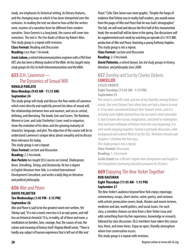study, we emphasize its historical setting, its literary features, and the changing ways in which it has been interpreted over the centuries. In reading the text we observe how artful the writers were, masters of a narrative form far different from modern narrative. Since Genesis is a long book, the course will cover two semesters. The text is *The Five Books of Moses* by Robert Alter. This study group is a repeat with revisions.

**Class Format:** Reading and Discussion **Reading:** Less than 1 hr/week.

*Irwin Lebow, a retired telecommunications engineer with a PhD from MIT, also has been a lifelong student of the Bible. He has taught many study groups for OLLI in both telecommunications and the Bible.*

### **655** D.H. Lawrence— The Dynamics of Sexual Will

#### **RONALD PARLATO Nine Mondays (9:45 AM - 11:15 AM) September 24**

The study group will study and discuss the four works of Lawrence which most directly and explicitly present his ideas of sexual will, the relationships between men and women, and sex as central, defining, and liberating. The books *Sons and Lovers, The Rainbow, Women in Love,* and *Lady Chatterley's Lover,* read in sequence, show the evolution of his ideas and the growing maturity of character, language, and plot. The objective of the course will be to understand Lawrence's unique ideas about sexuality and to discuss their relevance for today.

This study group is not a repeat.

**Class Format:** Lecture and Discussion **Reading:** 2-3 hrs/week.

*Ron Parlato has taught OLLI courses on Conrad, Shakespeare, Ibsen, Strindberg, Tolstoy, and Dostoevsky. He has a degree in English literature from Yale, is a retired International Development Consultant, and writes a daily blog on literature and political philosophy.*

### **656** *War and Peace*

#### **DAVID PALMETER Ten Wednesdays (1:45 PM - 3:15 PM) September 26**

*War and Peace* is said to be the greatest novel ever written. Yet Tolstoy said, "It is not a novel; even less is it an epic poem, and still less an historical chronicle." It is, in reality, all of these and more, a meditation on families, love, courage, fear, the causes of war, the nature and meaning of history itself. Virginia Woolf wrote, "There is hardly any subject of human experience that is left out of *War and* 

*Peace."* Critic Clive James was more graphic, "Despite the heaps of evidence that Tolstoy was in reality half crackers, you would swear from the pages of *War and Peace* that he was God's stenographer." This fall, we will read and discuss the first half of this monumental book; the second half will be done in the spring. Our discussions will be supplemented each week by watching an episode of a 1972 BBC production of *War and Peace,* featuring a young Anthony Hopkins. This study group is not a repeat.

**Class Format:** Lecture and Discussion

**Reading:** 2-3 hrs/week.

*David Palmeter, a retired lawyer, has led study groups in history, literature, and philosophy since 2008.*

#### **657** *Dombey and Son* by Charles Dickens **CANCELLED LESLIE FRANTZ**

**Eight Tuesdays (11:45 AM - 1:15 PM) September 25**

This novel is a terrific read, and one of my favorites among Dickens' novels. But even Dickens' fans often have not had a chance to read it. It has been considered Dickens' first "mature" novel, and it is certainly more tightly plotted than the six novels which preceded it. But it retains the humor, imagination, and belief in redemption that had been hallmarks of Dickens from the very beginning. It is well worth enjoying together. Format is primarily discussion, with background and context filled in by the SGL. Members should read chapters 1-8 before the first class.

This study group is not a repeat.

**Class Format:** Discussion

**Reading:** 1-2 hrs/week.

*Leslie Frantz has a Master's degree from Georgetown and taught in the Georgetown Continuing Education program for 20 years.*

### **669** Enjoying *The New Yorker* Together

#### **BOB HAUSMAN Eight Thursdays (11:45 AM - 1:15 PM) September 27**

*The New Yorker's* audience beyond New York enjoys reportage, commentary, essays, short stories, satire, poetry, and cartoons with artistic provocative covers; book, theater and movie reviews, medicine and law, world politics, and social issues. For each class, a member chooses an item from a *New Yorker* issue and adds something from his/her experience, knowledge or research, followed by class discussion. OLLI members have taken this course two, three, and more times. Enjoy an open, friendly atmosphere where true conversation occurs.

This study group is a repeat with revisions.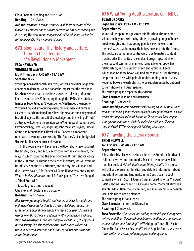#### **Class Format:** Reading and Discussion **Reading:** 1-2 hrs/week.

*Bob Hausman has been an attorney in all three branches of the federal government and in private practice. He has been reading and discussing* The New Yorker *magazine all of his adult life. He has led this course at OLLI for a number of years.*

### **673** Bloomsbury: The History and Culture, Through the Literature of a Revolutionary Movement

#### **ELSA NEWMYER VIRGINIA NEWMYER Eight Thursdays (9:45 AM - 11:15 AM) September 27**

While opinions of Bloomsbury artists, writers, and critics range from adoration to derision, we can honor the impact that the rebellious British movement had at the time, as well as its lasting influence. From the turn of the 20th century through the 1930s, the coterie of friends self-identified as "Bloomsberries" challenged the mores of Victorian England, introducing a new, more human and humane existence that championed "free" love, the creation and enjoyment of beautiful objects, the pursuit of knowledge, and the telling of "truth" as they saw it. Among the creators were Virginia Woolf, Vanessa Bell, Lytton Strachey, Clive Bell, Roger Fry, John Maynard Keynes, Duncan Grant, and Leonard Woolf. Novelist E.M. Forster, an important member of the men's secret society "The Apostles" at Cambridge, led the way for the young men and women.

In this course, we will examine the Bloomsbury revolt against the artistic, social, and sexual restrictions of the Victorian era; the ways in which it spurred the avant-garde in Britain; and its legacy in the 21st century. Through the lens of literature, we will examine its influence on the arts, critiques, and society. We will read and discuss two novels, E.M. Forster's *A Room With a View* and Virginia Woolf's *To the Lighthouse,* and T.S. Eliot's poem, "The Love Song of J. Alfred Prufrock."

This study group is not a repeat.

**Class Format:** Lecture and Discussion **Reading:** 1-2 hrs/week.

*Elsa Newmyer taught English and related subjects to middle and high school students for close to 30 years. A lifelong reader, she loves nothing more than teaching literature. She spent 20 years at Georgetown Day School, in addition to other independent schools. Virginia Newmyer has taught many courses at OLLI, chiefly about British history. She also teaches classes with Susan Willens on the links between literature and history at Politics and Prose and at the Smithsonian.*

### **676** What Young Adult Literature Can Tell Us

#### **SUSAN UROFSKY Eight Tuesdays (11:45 AM - 1:15 PM) September 25**

Young adults span the ages from middle school through high school and beyond. Written by adults, a growing range of books provide insights into how young people view the world and themes/issues that influence their lives now and into the future. The books are sometimes controversial due to mature content that includes the reality of alcohol and drugs, rape, rebellion, the impact of communal memory, suicide, loving supportive relationships, and the growth of self and group resilience. Adults reading these books will find much to discuss with young people in their lives with gains in understanding on both sides. Required books are early classics to be supplemented by optional current choices and guest speakers.

This study group is a repeat with revisions.

**Class Format:** Reading and Discussion **Reading:** 2-3 hrs/week.

*Susan Urofsky became an advocate for Young Adult Literature when reading and talking about the books read by her grandchildren. An avid reader, she majored in English literature. She is retired from Virginia state government, where she held leadership positions. She also consulted with VCU to develop skill-building workshops.*

## **677** Traveling the Literary South

#### **TRISH FOXWELL Ten Fridays (9:45 AM - 11:15 AM) September 28**

Join author Trish Foxwell as she explores the American South and its literary writers and landmarks. Most of the material will be from her book, *A Visitor's Guide to the Literary South.* The course will utilize discussions, film clips, and detailed information about important writers and landmarks in the South. Learn about Louisville where F. Scott Fitzgerald was inspired to write *The Great Gatsby,* Thomas Wolfe and his Asheville home, Margaret Mitchell's Atlanta, Edgar Allan Poe's Richmond, and so much more. A possible local field trip might be planned.

This study group is not a repeat.

**Class Format:** Lecture and Discussion

#### **Reading:** 1-2 hrs/week.

*Trish Foxwell is a journalist and author, specializing in literary sites, writers, and films. She contributed features on films and directors to various publications including* The Washington Times, The Boston Globe, The Palm Beach Post, *and* The Los Angeles Times, *and was a travel writer for a variety of newspapers and magazines.*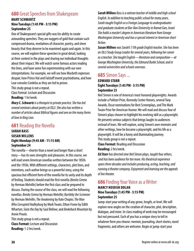### **680** Great Speeches from Shakespeare

#### **MARY SCHWARTZ Nine Tuesdays (1:45 PM - 3:15 PM) September 25**

One of Shakespeare's special gifts was his ability to create astounding speeches. They are nuggets of gold that contain such compressed drama, revelations of character, poetry, and sheer beauty that they deserve to be examined again and again. In this course, we will explore these speeches in great detail, looking at their context in the plays and sharing our individual thoughts about their impact. We will watch some famous actors reading the lines, and have some fun experimenting with our own interpretations. For example, we will see how Macbeth expresses despair, how Prince Hal and Falstaff invent psychodrama, and how Lear consoles Cordelia as they are led to prison.

This study group is not a repeat.

Class Format: Lecture and Discussion

**Reading:** 1 hr/week.

*Mary C. Schwartz is a therapist in private practice. She has led several seminars about poetry at OLLI. She also has written a number of articles about Biblical figures and one on the many forms of love in King Lear.*

### **681** Reading the Novella

**SARAH KASS SUSAN WILLENS Eight Mondays (9:45 AM - 11:15 AM) September 24**

The novella—shorter than a novel and longer than a short story—has its own strengths and pleasures. In this course, we will read seven American novellas written between the 1850s and the 1950s. With different settings, characters, plot lines, and intentions, each author brings us a powerful story, using the spacious but efficient form of the novella for its unity and its depth of feeling. Students should read the first novella (*Benito Cereno*  by Herman Melville) before the first class and be prepared to discuss. During the course of the class, we will read the following novellas: *Benito Cereno* by Herman Melville; *Bartleby the Scrivener* by Herman Melville; *The Awakening* by Kate Chopin; *The Man Who Corrupted Hadleyburg* by Mark Twain; *Ethan Frome* by Edith Wharton; *Seize the Day* by Saul Bellow; and *Brokeback Mountain* by Annie Proulx.

This study group is not a repeat. **Class Format:** Lecture and Discussion **Reading:** 1-2 hrs/week.

*Sarah Willens Kass is a veteran teacher of middle and high school English. In addition to teaching public school for many years, Sarah taught English as a Foreign Language to undergraduates and graduate students at Bar-Ilan University in Ramat Gan, Israel. She holds a master's degree in American literature from George Washington University and has a special interest in American short fiction.* 

*Susan Willens was Sarah's 11th grade English teacher. She has been an OLLI Study Group Leader for several years, following her career as a teacher. She taught English—literature and composition—at George Washington University, the Edmund Burke School, and in several universities and schools overseas.*

### **685** Simon Says ...

#### **EDWARD STARR Eight Tuesdays (1:45 PM - 3:15 PM) September 25**

Neil Simon is one of America's most honored playwrights. Awards include a Pulitzer Prize, Kennedy Center Honors, several Tony Awards, Oscar nominations for Best Screenplays, and The Mark Twain Prize for American Humor. We will read and discuss four of Simon's plays chosen to highlight his evolving skill as a playwright. He presents serious subjects that brings laughs to audiences instead of tears. We will explore, using Simon's own memoirs and other writings, how he became a playwright, and his life as a playwright. It will be a funny and illuminating journey. This study group is not a repeat.

**Class Format:** Reading and Discussion **Reading:** 2 hrs/week.

*Ed Starr has directed nine Neil Simon plays, taught four others, and has been audience for ten more. His theatrical experience spans three decades and includes producing, acting, teaching, and running a theater company. Enjoyment and learning are the appeals of live theater.*

### **686** Finding Your Voice as a Writer

#### **MARCY HEIDISH DOLAN Nine Tuesdays (1:45 PM - 3:15 PM) September 25**

Jump-start your writing of any genre, length, or level. We will explore new angles on the creation of character, plot, description, dialogue, and more. In-class reading of work may be encouraged but not pressured. Each of you has a unique story to tell in whatever form you choose: memoir, journaling, short stories, novel fragments, and others are welcome. Begin or jump-start your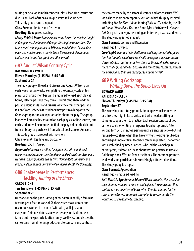writing or develop it in this congenial class, featuring lecture and discussion. Each of us has a unique story: tell yours here. This study group is not a repeat.

**Class Format:** Lecture and Discussion **Reading:** No required reading.

*Marcy Heidish Dolan is a seasoned writer instructor who has taught at Georgetown, Fordham and George Washington Universities. She is an award-winning author of 19 books, most of them fiction. One novel was made into a TV movie. She is the recipient of a National Endowment for the Arts grant and other awards.*

### **687** August Wilson Century Cycle

#### **RAYMOND MAXWELL Eleven Mondays (1:45 PM - 3:15 PM) September 24**

The study group will read and discuss one August Wilson play each week for ten weeks, completing the Century Cycle of ten plays. Each group member will be required to read each play at home, select a passage they think is significant, then read the passage aloud in class and discuss why they think that passage is significant. After class, students may post to a blog or to the Google group forum a few paragraphs about the play. The group leader will provide background on each play via online sources, but each student will be required to find the play online, check it out from a library, or purchase it from a local bookstore or Amazon. This study group is a repeat with revisions.

**Class Format:** Reading and Discussion **Reading:** 2-3 hrs/week.

*Raymond Maxwell is a retired foreign service officer and, postretirement, a librarian/archivist and tour guide/docent/amateur poet. He has an undergraduate degree from Florida A&M University and graduate degrees from University of London and Catholic University.*

### **688** Shakespeare in Performance: Tackling *Taming of the Shrew*

#### **CAROL LIGHT Ten Tuesdays (1:45 PM - 3:15 PM) September 25**

On stage or on the page, *Taming of the Shrew* is hardly a feminist favorite yet it features one of Shakespeare's most vibrant and mysterious women in a duel of wits with, well, just about everyone. Opinions differ as to whether anyone is ultimately tamed but the spectacle is often funny. We'll view and discuss the same scene from different productions to compare and contrast

the choices made by the actors, directors, and other artists. We'll look also at more contemporary versions which this play inspired, including *Kiss Me Kate,* "Moonlighting"'s classic TV episode, the film *10 Things I Hate About You,* and Anne Tyler's 2016 novel, *Vinegar Girl.* Our goal is to enjoy becoming an informed, if wary, audience. This study group is not a repeat.

#### **Class Format:** Lecture and Discussion

#### **Reading:** 1 hr/week.

*Carol Light, a retired federal attorney and long-time Shakespeare fan, has taught several well-received Shakespeare in Performance classes at OLLI, most recently Merchant of Venice. She likes leading these study groups at OLLI because she sometimes learns more from the participants than she manages to impart herself.*

### **689** Writing Workshop: *Writing Down the Bones* Lives On

#### **EDWARD WARD PATRICIA SPECTOR Eleven Thursdays (1:45 PM - 3:15 PM) September 27**

This workshop and study group is for people who like to write or think they might like to write, and who need a setting or stimulus to spur them to practice. Each session consists of two or more spells of writing in response to a short prompt. After writing for 10-15 minutes, participants are encouraged—but not required—to share what they have written. Positive feedback is encouraged; more critical feedback can be requested. The format was established by Brock Hansen, who led the workshop in earlier years; it draws on ideas about writing practice in Natalie Goldberg's book, Writing Down the Bones. The common prompts lead workshop participants in surprisingly different directions. This study group is a repeat.

#### **Class Format:** Appreciation

**Reading:** No required reading.

*Both Patricia Spector and Edward Ward attended this workshop several times with Brock Hansen and enjoyed it so much that they continued it on an informal basis when the OLLI offering for the spring semester was cancelled. They plan to co-coordinate the workshop as a regular OLLI offering.*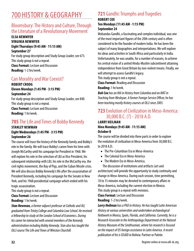## 700 HISTORY & GEOGRAPHY

### Bloomsbury: The History and Culture, Through the Literature of a Revolutionary Movement

#### **ELSA NEWMYER VIRGINIA NEWMYER Eight Thursdays (9:45 AM - 11:15 AM) September 27**

For study group description and Study Group Leader, see 673. This study group is not a repeat. **Class Format:** Lecture and Discussion **Reading:** 1-2 hrs/week.

### Can Morality and War Coexist?

#### **ROBERT CROOG Eleven Mondays (1:45 PM - 3:15 PM) September 24**

For study group description and Study Group Leader, see 840. This study group is not a repeat. **Class Format:** Lecture and Discussion **Reading:** 1 hr/week.

### **705** The Life and Times of Bobby Kennedy

#### **STANLEY NEWMAN Eight Wednesdays (1:45 PM - 3:15 PM) September 26**

The course will trace the history of the Kennedy family and Bobby's role in the family. We will trace Bobby's career from his time with Joseph McCarthy until his campaign for President in 1968. We will explore his role in the selection of LBJ as Vice President, his subsequent relationship with LBJ, his role in the McCarthy era, the civil rights movement, the Bay of Pigs, and the Cuban Missile crisis. We will also discuss Bobby Kennedy's life after the assassination of President Kennedy, including his campaign for the Senate in New York, and his 1968 presidential campaign which ended with his tragic assassination.

This study group is not a repeat.

**Class Format:** Lecture and Discussion **Reading:** 1 hr/week.

*Stan Newman, a former adjunct professor at Catholic and AU, graduated from Trinity College and Columbia Law School. He received a fellowship to study at the London School of Economics. During his career he interacted with several members of the Kennedy administration including Bobby Kennedy. Stan also has taught the OLLI course The Life and Times of Winston Churchill.*

## **721** Gandhi: Triumphs and Tragedies

#### **ROBERT COE**

**Ten Mondays (11:45 AM - 1:15 PM) September 24**

Mohandas Gandhi, a fascinating and complex individual, was one of the most important figures of the 20th century and is often considered to be the founder of modern India. He has been the subject of many biographies and interpretations. We will explore his ideas and activities in South Africa and particularly in India. Unfortunately, he was unable, for a number of reasons, to achieve his central vision of a united Hindu-Muslim subcontinent attaining independence from Great Britain by non-violent means. Finally, we will attempt to assess Gandhi's legacy.

This study group is not a repeat.

**Class Format:** Reading and Discussion

**Reading:** 1 hr/week.

*Bob Coe has an MA in History from Columbia and an MAT in Teaching from Wesleyan. A former Foreign Service Officer, he has been teaching mostly history courses at OLLI since 2005.*

### **723** Evolution of Civilization in Meso-America: 30,000 B.C. (?) - 2018 A.D.

#### **LARRY HEILMAN Nine Mondays (9:45 AM - 11:15 AM) October 8**

The course will be divided into three parts in order to explore the evolution of civilization in Meso-America from 30,000 B.C. to 2018 A.D.:

- The Pre-Columbian Era in Meso-America
- The Colonial Era in Meso-America
- The Modern Fra in Meso-America.

The discussion of institutions and artifacts (art and

architecture) will provide the opportunity to study continuity and change in Meso-America. During each session, time permitting, 10 to 15 minutes may be devoted to contemporary affairs in Meso-America, including the current election in Mexico. This study group is a repeat with revisions.

**Class Format:** Lecture and Discussion

**Reading:** 1-2 hrs/week.

*Larry Heilman has a PhD in History. He has taught Latin American History at various universities and undertaken archaeological fieldwork in Mexico, Spain, Florida, and California. Currently, he is a Research Associate in the Anthropology Department at the Natural History Museum of the Smithsonian, where his research is focused on the impact of US foreign assistance in Latin America. A recent publication of his is* USAID in Bolivia: Partner or Patrón*.*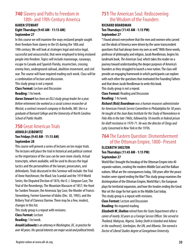### **740** Slavery and Paths to Freedom in 18th- and 19th-Century America

#### **KAREN STEWART Eight Thursdays (9:45 AM - 11:15 AM) September 27**

In this course we will examine the ways enslaved people sought their freedom from slavery in the US during the 18th and 19th century. We will look at strategies legal and extra-legal, successful and unsuccessful, that were employed to bring enslaved people into freedom. Topics will include maroonage, runaways, escape to Canada and Spanish Florida, insurrection, crossing enemy lines, underground railroad, abolition movement, and civil war. The course will have required reading each week. Class will be a combination of lecture and discussion.

This study group is not a repeat.

**Class Format:** Lecture and Discussion **Reading:** 1 hr/week.

*Karen Stewart has been an OLLI study group leader for a year. Before retirement she worked as a social science researcher at Westat, a contract research company in Rockville, MD. She is a graduate of Barnard College and the University of North Carolina School of Public Health.*

### **750** Great American Trials

#### **ARNOLD LEIBOWITZ Ten Fridays (9:45 AM - 11:15 AM) September 28**

This course will present a series of lectures on ten major trials. The lectures will place the trial in historical and political context so the importance of the case can be seen more clearly. Actual transcripts, where available, will be used to discuss the legal tactics and the personalities of the lawyer, prosecutors, and defendants. Trials discussed in this Seminar will include: the Trial of Anne Hutchinson; the Black Sox Scandal and the 1919 World Series; the Disputed Election of 1876; the O. J. Simpson Case; The Trial of the Rosenbergs; The Mountain Massacre of 1857; the Hunt for Sunken Treasure; the Amerasia Spy Case; the Murder of Francis Stenenberg, Former Governor of Idaho (Dec. 30, 1905); and the Bribery Trial of Clarence Darrow. There may be a few, modest, changes in this list.

This study group is a repeat with revisions.

**Class Format:** Lecture

**Reading:** 1 hr/week.

*Arnold Leibowitz is an attorney in Washington, DC, in practice for over 40 years. His special interests are major social and political trends.*

### **751** The American Soul: Rediscovering the Wisdom of the Founders

#### **RICHARD BOARDMAN Ten Thursdays (11:45 AM - 1:15 PM) September 27**

"I found almost everywhere that the men and women who carved out the ideals of America were driven by the same transcendent questions that had always been my own as well." With these words, professor of philosophy and religion, Jacob Needleman, begins his landmark book, *The American Soul,* which takes the reader on a journey toward understanding the deeper purposes of America's founders as they struggled to launch a new nation. The class will provide an engaging framework in which participants can explore with each other the questions that motivated the Founding Fathers and that drove Jacob Needleman to write this book. This study group is not a repeat.

**Class Format:** Reading and Discussion **Reading:** 1 hr/week.

*Richard (Rick) Boardman was a human resources administrator for American Friends Service Committee in Philadelphia for 30 years. He taught at the Joan Baez Institute for the Study of Nonviolence in Palo Alto in the late 1960s, followed by 18 months in federal prison for draft resistance in 1970-71. He was the director of Clergy and Laity Concerned in New York in the 1970s.*

### **764** The Eastern Question: Dismemberment of the Ottoman Empire, 1800–Present **ELIZABETH SHELTON**

#### **Ten Thursdays (11:45 AM - 1:15 PM) September 27**

World War I brought the breakup of the Ottoman Empire into 40 separate nations, creating the modern Middle East and the Balkan nations. What are the consequences today, 100 years after the peace treaties were signed ending the War? This study group examines the disintegration of the Ottoman Empire, World War I, the European plays for territorial expansion, and how the treaties ending the Great War set the stage for hot spots in the Middle East today.

This study group is a repeat with revisions.

**Class Format:** Lecture and Discussion

**Reading:** No required reading.

*Elizabeth W. Shelton retired from the State Department after a career of nearly 30 years as a Foreign Service Officer. She served in Thailand, Malaysia, Nigeria, Turkey (both in Istanbul and Adana in the southeast), Azerbaijan, the UN, and Albania. She earned a Doctor of Liberal Studies degree at Georgetown University.*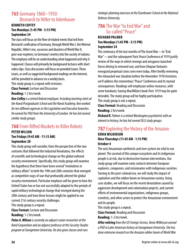### **765** Germany 1860–1950: Bismarck to Hitler to Adenhauer

#### **KENNETH COFFEY**

#### **Ten Mondays (1:45 PM - 3:15 PM) September 24**

The class will focus on the flow of related events that led from Bismarck's unification of Germany, through World War I, the Weimar Republic, Hitler's rise, successes and disasters of World War II, post-war mayhem, to Germany's reentry into the society of nations. The emphasis will be on understanding what happened and why it happened. Classes will primarily be background lectures with short video clips. Class discussions will focus on provided issues. These issues, as well as suggested background readings on the Internet, will be provided in advance on a weekly basis.

This study group is a repeat with revisions.

**Class Format:** Lecture and Discussion

**Reading:** 1-2 hrs/week.

*Ken Coffey is a retired federal employee. Including teaching stints at the Naval Postgraduate School and the Naval Academy, Ken worked for ten different agencies in the Legislative and Executive branches. He earned his PhD from the University of London. He has led several similar study groups.*

### **768** From Rifled Muskets to Killer Robots

#### **PETER WILSON Ten Fridays (9:45 AM - 11:15 AM) September 28**

This study group will consider, from the perspective of the two centuries that followed the Industrial Revolution, the effects of scientific and technological change on the global national security environment. Specifically, this study group will examine the hypothesis that there have been several "revolutions in military affairs" in both the 19th and 20th centuries that emerged as competitive ways of war that profoundly altered the global security environment. Particular emphasis will be given to how the United States has or has not successfully adapted to the periods of rapid military technological change that emerged during the 20th century and how these lessons might be applied to our current 21st century security challenges.

This study group is a repeat.

**Class Format:** Lecture and Discussion **Reading:** 1-2 hrs/week.

*Peter A. Wilson is currently an adjunct senior researcher at the Rand Corporation and an adjunct professor at the Security Studies program at Georgetown University. He also gives classes and runs* 

*strategic planning exercises at the Eisenhower School at the National Defense University.*

### **786** The War "to End War" and So-called "Peace"

#### **RICHARD PALMER Ten Mondays (1:45 PM - 3:15 PM) September 24**

The centenary of the last months of The Great War—to "End War"—and the subsequent Paris Peace Conference of 1919 justify review of the ways in which revenge and arrogance launched forces driving to renewed war, and how Utopian fantasies energized perpetual crises seen even today. After briefly reviewing the exhausted war situation before the November 1918 Armistice, we'll address the momentous "Peace" Conference and its myriad consequences. Readings will emphasize online resources, with some handouts; having MacMillan's book *Paris 1919* may be quite desirable. The study group will be highly participative. This study group is not a repeat.

**Class Format:** Reading and Discussion **Reading:** 2 hrs/week.

*Richard R. Palmer is a retired Washington psychiatrist with an interest in history; he has led several OLLI study groups.*

### **787** Exploring the History of the Amazon

#### **XENIA WILKINSON Nine Thursdays (11:45 AM - 1:15 PM) October 4**

The vast Amazonian rainforests and river system are vital to our planet. The survival of this unique ecosystem and its indigenous people is at risk, due to destructive human interventions. Our study group will examine early contacts between European explorers, conquerors, and missionaries with indigenous societies. Turning to the post-colonial era, we will study the impact of capitalism and the rubber boom on Amazonian society. Using case studies, we will focus on the recent devastation caused by aggressive development and colonization projects, and current efforts of environmental organizations, indigenous groups, scientists, and other actors to protect the Amazonian environment and its people.

This study group is a repeat.

**Class Format:** Reading and Discussion

**Reading:** 1-2 hrs/week.

*After retiring from the US Foreign Service, Xenia Wilkinson earned a PhD in Latin American history at Georgetown University. She has done extensive research on the Amazon rubber boom of World War*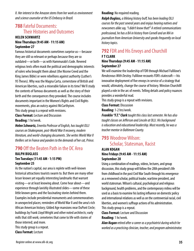*II. Her interest in the Amazon stems from her work as environment and science counselor at the US Embassy in Brazil.*

### **788** Fateful Documents: Their Histories and Outcomes

#### **HELEN SCHWARTZ Nine Thursdays (9:45 AM - 11:15 AM) September 27**

Famous historical documents sometimes surprise us—because they are still so relevant or perhaps because they are so outdated—or both—as with Hammurabi's Code. Revered religious texts often mask the political and demographic interests of rulers who brought them about (the Nicene Creed and the King James Bible) or were rebellions against authority (Luther's 95 Theses). Why was the Magna Carta, cornerstone of British and American liberties, such a miserable failure in its time? We'll study the contents of famous documents as well as the story of their birth and the consequences they provoked. The course includes documents important in the Women's Rights and Civil Rights movements, plus an outcry against McCarthyism. This study group is a repeat with revisions.

**Class Format:** Lecture and Discussion

**Reading:** 1 hr/week.

*Helen Schwartz, Emerita Professor of English, has taught OLLI courses on Shakespeare, post-World War II recovery, modern literature, and world-changing documents. She writes World War II thrillers set in France and panders to the demands of her cat, Prince.*

### **790** Off the Beaten Path in the DC Area

#### **RALPH BUGLASS Ten Tuesdays (11:45 AM - 1:15 PM) September 25**

As the nation's capital, our area is replete with well-known historical attractions tourists swarm to. But there are many other lesser known yet equally interesting landmarks that warrant visiting—or at least knowing about. Come hear about—and experience through lavishly illustrated slides—some of these little known gems and the fascinating stories behind them. Examples include presidential monuments and commemoratives in unexpected places; reminders of World War II and the area's rich African American history; Gilded Age mansions near DuPont Circle; buildings by Frank Lloyd Wright and other noted architects; early mills that still work; cemeteries that come to life with stories of those interred; and more.

This study group is a repeat. **Class Format:** Lecture

#### **Reading:** No required reading.

*Ralph Buglass, a lifelong history buff, has been leading OLLI courses for the past several years and enjoys hearing natives and newcomers alike say, "I didn't know that!" A retired communications professional, he has a BA in history from Cornell and an MA in journalism from American University and speaks frequently on local history topics.*

### **792** FDR and His Envoys and Churchill

#### **F T CLARK Nine Thursdays (9:45 AM - 11:15 AM) September 27**

We will examine the leadership of FDR through Michael Fullilove's *Rendezvous With Destiny.* Fullilove recounts FDR's statecraft—his innovative deployment of five envoys in service of a strategy that would, ultimately, change the course of history. Winston Churchilll played a role in the arc of events. Telling details and policy nuances provides a wonderful read.

This study group is a repeat with revisions.

**Class Format:** Discussion

**Reading:** 1-2 hrs/week.

*Franklin "F.T." Clark taught this class last semester. He has also taught classes on Jefferson and Lincoln at OLLI. His background is education and educational leadership. Most recently, he was a teacher mentor in Baltimore County.*

### **793** Woodrow Wilson: Scholar, Statesman, Racist

#### **ALAN KOGAN Nine Fridays (9:45 AM - 11:15 AM) September 28**

Using a combination of readings, videos, lectures, and group discussion, this study group will follow the 28th president's life from childhood in the post Civil War South through his emergence as a renowned scholar, political leader, wartime president, and world statesman. Wilson's cultural, psychological and religious background, health problems, and the contemporary milieu will be used as a basis to examine his lasting influence on domestic policy and international relations as well as on the controversial racial, civil liberties, and women's suffrage actions of his administration. This study group is a repeat.

**Class Format:** Lecture and Discussion

**Reading:** 1 hr/week.

*Alan Kogan retired after a career as a psychiatrist during which he worked as a practicing clinician, teacher, and program administrator.*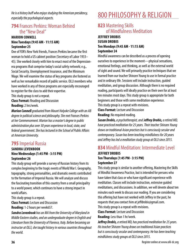*He is a history buff who enjoys studying the American presidency, especially the psychological aspects.*

### **794** Frances Perkins: Woman Behind the "New Deal"

#### **MARION CONNELL Nine Tuesdays (9:45 AM - 11:15 AM) September 25**

One of FDR's New York friends, Frances Perkins became the first woman to hold a US cabinet position (Secretary of Labor 1933– 45). She worked closely with him to enact most of the Depressionera programs that comprise today's social safety network; e.g., Social Security, Unemployment Insurance, and the Minimum Wage. We will examine the status of key programs she fostered as well as her remarkable record of public service. OLLI members who have worked in any of these programs are especially encouraged to register for the class to add their expertise.

This study group is not a repeat.

**Class Format:** Reading and Discussion **Reading:** 2 hrs/week.

*Marion Connell graduated from Mount Holyoke College with an AB degree in political science and philosophy. She met Frances Perkins at her Commencement. Marion has a master's degree in public administration plus over 30 years experience in local, state, and federal government. She has lectured in the School of Public Affairs at American University.*

### **795** Imperial Russia

#### **SANDRA LEVENBOOK Nine Wednesdays (1:45 PM - 3:15 PM) September 26**

This study group will provide a survey of Russian history from its complex beginning to the tragic events of World War I. Geography, topography, strong personalities, and dramatic events contributed to the formation of Imperial Russia. We will analyze and discuss the fascinating transition of this country from a small principality to a world power, which continues to have a strong impact in world affairs.

This study group is a repeat.

**Class Format:** Lecture and Discussion

**Reading:** 1-2 hours per week657.

*Sandra Levenbook has an MA from the University of Maryland in Middle Eastern studies, and an undergraduate degree in English and Literature from the University of Florence, Italy. Before becoming an instructor at OLLI, she taught history in various countries throughout the world.*

## 800 PHILOSOPHY & RELIGION

### **823** Mastering Skills of Mindfulness Meditation

#### **JEFFREY DROBIS SUSAN DROBIS Ten Mondays (9:45 AM - 11:15 AM) September 24**

Mindful awareness can be described as a process of opening ourselves to experience in the moment—physical sensations, emotional feelings, and thinking, as well as the external world of sight and sound. We will primarily practice techniques that we learned from our teacher Shinzen Young to use in formal practice and in ordinary life. Sessions will include instruction, guided meditation, and group discussion. Although there is no required reading, participants will ideally practice on their own for at least ten minutes most days. This study group is appropriate for both beginners and those with some meditation experience. This study group is a repeat with revisions.

**Class Format:** Lecture and Discussion

**Reading:** No required reading.

*Susan Drobis, a psychotherapist, and Jeffrey Drobis, a retired MD, have practiced meditation for 25 years. Their teacher Shinzen Young draws on traditional Asian practices but is consciously secular and contemporary. Susan has been teaching mindfulness for 20 years and Jeffrey has led a meditation study group at OLLI since 2015.*

#### **834** Mindful Meditation: Intermediate Level **JEFFREY DROBIS Ten Thursdays (1:45 PM - 3:15 PM) September 27**

This study group is similar to another offering, Mastering the Skills of Mindful Awareness Practice, but is intended for persons who have taken that class or who have significant experience with meditation. Classes will include instruction, extensive guided meditations, and discussions. In addition, we will devote about ten minutes each week to discuss our reading. If you are considering this offering but have not worked with Jeffrey in the past, he requests that you contact him at jeffdrobis@gmail.com. This study group is a repeat with revisions.

**Class Format:** Lecture and Discussion **Reading:** Less than 1 hr/week.

*Jeffrey Drobis, a retired MD, has practiced meditation for 25 years. His teacher Shinzen Young draws on traditional Asian practices but is consciously secular and contemporary. He has been teaching mindfulness study groups at OLLI since 2015.*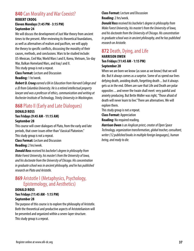### **840** Can Morality and War Coexist?

#### **ROBERT CROOG Eleven Mondays (1:45 PM - 3:15 PM) September 24**

We will discuss the development of Just War theory from ancient times to the present. After reviewing its theoretical foundations, as well as alternatives of realism and pacifism, we will apply the theory to specific conflicts, discussing the morality of their causes, methods, and conclusions. Wars to be studied include: US-Mexican, Civil War, World Wars I and II, Korea, Vietnam, Six-day War, Balkan Homeland Wars, and Iraq I and II. This study group is not a repeat.

**Class Format:** Lecture and Discussion **Reading:** 1 hr/week.

*Robert D. Croog earned a BA in Education from Harvard College and a JD from Columbia University. He is a retired intellectual property lawyer and was a professor of ethics, communication and writing at Rochester Institute of Technology, Trinity University in Washington.*

### **868** Plato II (Early and Late Dialogues)

#### **DONALD ROSS Ten Fridays (9:45 AM - 11:15 AM) September 28**

This course will cover dialogues of Plato, from the early and late periods, that cover issues other than "classical Platonism." This study group is not a repeat. **Class Format:** Lecture and Discussion

**Reading:** 2 hrs/week.

*Donald Ross received his bachelor's degree in philosophy from Wake Forest University, his master's from the University of Iowa, and his doctorate from the University of Chicago. His concentration in graduate school was in ancient philosophy, and he has published research on Plato and Aristotle.*

### **869** Aristotle I (Metaphysics, Psychology, Epistemology, and Aesthetics)

#### **DONALD ROSS Ten Fridays (11:45 AM - 1:15 PM) September 28**

The purpose of this course is to explore the philosophy of Aristotle. Both the theoretical and productive aspects of Aristotelianism will be presented and organized within a seven-layer structure. This study group is a repeat.

#### **Class Format:** Lecture and Discussion **Reading:** 2 hrs/week.

*Donald Ross received his bachelor's degree in philosophy from Wake Forest University, his master's from the University of Iowa, and his doctorate from the University of Chicago. His concentration in graduate school was in ancient philosophy, and he has published research on Aristotle.*

### **872** Death, Dying, and Life

#### **HARRISON OWEN Ten Fridays (11:45 AM - 1:15 PM) September 28**

When we are born we know (as soon as we know) that we will die. But it always comes as a surprise. Some of us spend our lives defying death, avoiding death, forgetting death ... but it always gets us in the end. Others are sure that Life and Death are polar opposites ... and never the twain shall meet: very painful and anxiety producing. But Bette Midler was right, "Those afraid of death will never learn to live." There are alternatives. We will explore them.

This study group is not a repeat.

**Class Format:** Appreciation

**Reading:** No required reading.

*Harrison Owen is an Anglican priest, creator of Open Space Technology, organization transformation, global teacher, consultant, writer (12 published books in multiple foreign languages), human being, and ready to die.*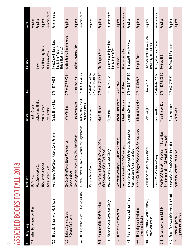|    | $\blacksquare$ |
|----|----------------|
|    |                |
|    |                |
|    | $\frac{1}{2}$  |
|    |                |
|    |                |
|    |                |
|    | ï              |
|    |                |
|    |                |
|    |                |
|    | こくしょ           |
|    |                |
|    |                |
|    |                |
|    |                |
|    | i<br>C<br>C    |
|    |                |
|    | C<br>L         |
|    |                |
|    |                |
|    |                |
|    | ī              |
|    | ì              |
| 38 |                |
|    |                |

| ⋕   | <b>Study Group</b>                                       | <b>Book Title</b>                                                                             | Author                                 | <b>N8SI</b>                            | Publisher                                                             | <b>Notes</b>    |
|-----|----------------------------------------------------------|-----------------------------------------------------------------------------------------------|----------------------------------------|----------------------------------------|-----------------------------------------------------------------------|-----------------|
| 113 | When Do Democracies Die?                                 | On Tyranny                                                                                    | <b>Timothy Snyder</b>                  |                                        |                                                                       | <b>Required</b> |
|     |                                                          | <b>How Democracies Die</b>                                                                    | Levitsky and Zimblatt                  |                                        | Crown                                                                 | Required        |
|     |                                                          | Why Liberalism Failed                                                                         | Patrick Deneen                         |                                        | <b>Yale University Press</b>                                          | Required        |
|     |                                                          | Can It Happen Here?                                                                           | Cass Sunstein                          |                                        | William Morrow                                                        | Recommended     |
|     | 120 The Multi-dimensional Mark Twain                     | Comet Returns<br>Mark Twain's Tale of Today: Halley's                                         | Donald Tiffany Bliss                   | 978-1477405024                         | CreateSpace Independent<br>Publishing Platform/<br>Hale & Northam LLC | Recommended     |
| 180 | Today's Supreme Court:<br>A Course for Citizens          | and the<br>The Oath: The Obama White House<br>Supreme Court                                   | Jeffrey Toobin                         | 978-0-307-39071-4                      | Anchor Books, Random House                                            | Required        |
|     |                                                          | The US Supreme Court: A Very Short Introduction                                               | Linda Greenhouse                       | 978-0199754540                         | Oxford University Press                                               | Required        |
| 345 | The Rise of the Robots—Can We Adjust?                    | Machine, Platform, Crowd: Harnessing Our Digital Future                                       | Andrew McAfee and<br>Erik Brynjolfsson | 978-0-393-25429-7                      |                                                                       | Recommended     |
|     |                                                          | Platform Capitalism                                                                           | Nick Smicek                            | 978-1-5095-0487-9<br>978-0-465-05999-7 |                                                                       | Required        |
| 355 | Anatomy of the 2008 Recession                            | After the Music Stopped: The Financial Crisis,<br>the Response, and the Work Ahead            | Alan S. Blinder                        | 978-0-14-312448-1                      | The Penguin Press                                                     | Required        |
| 373 | How to Get Rich Surely, But Slowly                       | How to Get Rich Surely* But Slowly                                                            | Gary Cahn                              | 978-1477429198                         | CreateSpace Independent<br>Publishing Platform                        | Recommended     |
| 375 | The Worldly Philosophers                                 | The Worldly Philosophers (7th revised edition)                                                | Robert L. Heilbroner                   | 068486214X                             | Touchstone                                                            | Required        |
|     |                                                          | Teachings From the Worldly Philosophy                                                         | Robert L. Heilbroner                   | 393316076                              | W.W. Norton & Co.                                                     | Recommended     |
| 44  | Algorithms—How Machines Think                            | 9 Algorithms That Changed the Future: The Ingenious<br>Ideas That Drive Today's Computers     | John MacCormick                        | 978-0-691-14714-7                      | Princeton University Press                                            | Required        |
| 492 | The Biology and Evolution<br>of Human Behavior           | Behave: The Biology of Humans at Our Best and Worst                                           | Robert M. Sapolsky                     | 978-1594205071                         | Penguin Press                                                         | Required        |
| 604 | Poetry Craftshop: Mother of Roots,<br>Father of Diamonds | Above the River: The Complete Poems                                                           | James Wright                           | 0-374-52282-0                          | The Noonday Press, Wesleyan<br>University Press edition               | Required        |
|     |                                                          | James Wright: A Life In Poetry                                                                | Jonathan Blunk                         | 978-0-374-17859-8                      | Farrar, Strauss and Giroux                                            | Recommended     |
| 618 | Conversational Spanish II b                              | -Third edition<br>by Think Spanish—Kelly Garboden (Required)<br>Read & Think Spanish—Premium- | The editors of TSM                     | 978-1-259-83631-2                      | McGraw-Hill                                                           | Required        |
| 619 | French Review and Conversation Practice                  | edition<br>Intermediate French Grammar, 1st                                                   | Eliane Kurberov                        | 978-0071775380                         | McGraw-Hill Education                                                 | Required        |
| 622 | Beginning Spanish 101<br>(Spanish for Smarties)          | Spanish for Dummies, 2nd edition                                                              | Susana Wald                            |                                        |                                                                       | Required        |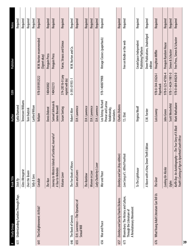| #   | Study Group                                                                                   | <b>Book Title</b>                                                                                         | Author                                                                     | N8SI                                 | <b>Publisher</b>                                      | Notes    |
|-----|-----------------------------------------------------------------------------------------------|-----------------------------------------------------------------------------------------------------------|----------------------------------------------------------------------------|--------------------------------------|-------------------------------------------------------|----------|
| 631 | <b>Understanding Families Through Plays</b>                                                   | Stick Fly                                                                                                 | Lydia Diamond                                                              |                                      |                                                       | Required |
|     |                                                                                               | Glass Menagerie                                                                                           | Tennessee Williams                                                         |                                      |                                                       | Required |
|     |                                                                                               | Over the Tavern                                                                                           | Tom Dudzick                                                                |                                      |                                                       | Required |
|     |                                                                                               | Tally & Sons                                                                                              | Lanford Wilson                                                             |                                      |                                                       | Required |
| 641 | The Enlightenment: At Risk?                                                                   | Candide                                                                                                   | Voltaire                                                                   | 978-0393932522                       | W.W. Norton recommended<br>(Signet okay)              | Required |
|     |                                                                                               | The Nun                                                                                                   | <b>Denis Diderot</b>                                                       | 140443002                            | Penguin Press                                         | Required |
|     |                                                                                               | Journey to Western Islands of Scotland; Journal of<br>A Tour to Hebrides                                  | Samuel Johnson &<br>James Boswell                                          | 140432213                            | Penguin Press                                         | Required |
|     |                                                                                               | Volcano Lover                                                                                             | Susan Sontag                                                               | 374-28516-0 (any<br>reprint will do) | Farrar, Strauss and Giroux                            | Required |
| 646 | The Book of Genesis                                                                           | The Five Books of Moses                                                                                   | Robert Alter                                                               | 0-393-01955-1                        | W.W. Norton and Co.                                   | Required |
| 655 | D.H. Lawrence—The Dynamics of<br>Sexual Will                                                  | Sons and Lovers                                                                                           | D.H. Lawrence                                                              |                                      |                                                       | Required |
|     |                                                                                               | The Rainbow                                                                                               | D.H. Lawrence                                                              |                                      |                                                       | Required |
|     |                                                                                               | Women in Love                                                                                             | D.H. Lawrence                                                              |                                      |                                                       | Required |
|     |                                                                                               | Lady Chatterley's Lover                                                                                   | D.H. Lawrence                                                              |                                      |                                                       | Required |
| 656 | War and Peace                                                                                 | War and Peace                                                                                             | Leo Tolstoy. Richard<br>Pevear and Larissa<br>Volokhonsky,<br>translators. | 978-1400079988                       | Vintage Classics (paperback)                          | Required |
| 657 | Dombey and Son by Charles Dickens                                                             | Dombey and Son (Any edition)                                                                              | <b>Charles Dickens</b>                                                     |                                      |                                                       | Required |
| 673 | Bloomsbury: The History and Culture,<br>A Revolutionary Movement<br>Through the Literature of | Love Song of J. Alfred Proofrock                                                                          | T.S. Eliot                                                                 |                                      | Free on Kindle or the web                             | Required |
|     |                                                                                               | To The Lighthouse                                                                                         | Virginia Woolf                                                             |                                      | CreateSpace Independent<br><b>Publishing Platform</b> | Required |
|     |                                                                                               | A Room with a View, Dover Thrift Edition                                                                  | E.M. Forster                                                               |                                      | Dover Publications, Unabridged<br>edition             | Required |
| 676 | What Young Adult Literature Can Tell Us                                                       | The Giver                                                                                                 | Lois Lowrey                                                                | 978-0-544-33626-1<br>Paperback       | Houghton Mifflin                                      | Required |
|     |                                                                                               | Looking for Alaska                                                                                        | John Green                                                                 | 978-0-525-47506-4                    | Penquin Random House                                  | Required |
|     |                                                                                               | Uglies                                                                                                    | Scott Westerfeld                                                           | 978-1-4424-1981-0                    | Simon & Schuster                                      | Required |
|     |                                                                                               | Kaffir Boy: An Autobiography—The True Story of A Black<br>Youth's Coming of Age in Apartheid South Africa | Mark Mathabane                                                             | 978-0-684-84828-0                    | Free Press, Simon & Schuster                          | Required |
| 39  |                                                                                               |                                                                                                           |                                                                            |                                      |                                                       |          |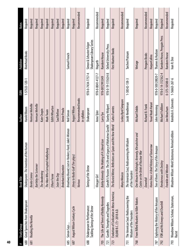| $\ddagger$ | Study Group                                                             | <b>Book Title</b>                                                                     | Author                           | N8SI              | Publisher                                             | <b>Notes</b> |
|------------|-------------------------------------------------------------------------|---------------------------------------------------------------------------------------|----------------------------------|-------------------|-------------------------------------------------------|--------------|
| 680        | Great Speeches from Shakespeare                                         | Shakespeare: The Invention of the Human                                               | Harold Bloom                     | 1-57322-120-1     | <b>Riverhead Books</b>                                | Required     |
| 681        | Reading the Novella                                                     | Benito Cereno                                                                         | Herman Melville                  |                   |                                                       | Required     |
|            |                                                                         | <b>Bartleby the Scrivener</b>                                                         | Herman Melville                  |                   |                                                       | Required     |
|            |                                                                         | The Awakening                                                                         | Kate Chopin                      |                   |                                                       | Required     |
|            |                                                                         | The Man Who Corrupted Hadleyburg                                                      | Mark Twain                       |                   |                                                       | Required     |
|            |                                                                         | Ethan Frome                                                                           | <b>Edith Wharton</b>             |                   |                                                       | Required     |
|            |                                                                         | Seize the Day                                                                         | Saul Bellow                      |                   |                                                       | Required     |
|            |                                                                         | <b>Brokeback Mountain</b>                                                             | Annie Proulx                     |                   |                                                       | Required     |
| 685        | Simon Says                                                              | Broadway Bound; Lost in Yonkers; Fools; Jake's Women                                  | Neil Simon                       |                   | Samuel French                                         | Required     |
| 687        | August Wilson Century Cycle                                             | Jitney to Radio Golf (Ten plays)                                                      | August Wilson                    |                   |                                                       | Required     |
|            |                                                                         | <b>Various</b>                                                                        | Recommended books<br>in syllabus |                   |                                                       | Recommended  |
| 688        | Shakespeare in Performance:<br>Tackling Taming of the Shrew             | Taming of the Shrew                                                                   | Shakespeare                      | 978-0-7434-7757-4 | Shakespeare Library Series<br>Simon & Schuster Folger | Required     |
|            |                                                                         | Vinegar Girl                                                                          | Anne Tyler                       | 978-0-8041-4127-7 | Hogarth                                               | Recommended  |
| 705        | The Life and Times of Bobby Kennedy                                     | Bobby Kennedy: The Making of A Liberal Icon                                           | Larry Tye                        | 978-0812993349    | Random House                                          | Required     |
| 721        | Gandhi: Triumphs and Tragedies                                          | Gandhi's Passion: The Life and Legacy of Mahatma Gandhi                               | Stanley Wolpert                  | 978-0-19-515634-8 | Oxford University Press                               | Required     |
| 723        | Evolution of Civilization in Meso-America:<br>30,000 B.C. (?)-2018 A.D. | The Buried Mirror, Reflections on Spain and the New World                             | Carlos Fuentes                   |                   | First Mariner Books                                   | Required     |
|            |                                                                         | <b>Many Mexicos</b>                                                                   | Lesley Byrd Simpson              |                   |                                                       | Recommended  |
| 751        | The American Soul: Rediscovering the<br>Wisdom of the Founders          | The American Soul, Rediscovering the Wisdom<br>of the Founders                        | Jacob Needleman                  | 1-58542-138-3     | Tarcher/Putnam                                        | Required     |
| 768        | From Rifled Muskets to Killer Robots                                    | One Minute to Midnight, Kennedy, Khrushchev and<br>Castro on the Brink of Nuclear War | <b>Michael Dobbs</b>             |                   | Vintage                                               | Required     |
|            |                                                                         | Downfall                                                                              | <b>Richard B. Frank</b>          |                   | Penguin Books                                         | Recommended  |
|            |                                                                         | Homo Deus: A Brief History of Tomorrow                                                | Yuval Noah Harari                |                   | <b>HarperCollins</b>                                  | Required     |
| 787        | Exploring the History of the Amazon                                     | Tree of Rivers: The Story of the Amazon                                               | John Hemming                     | 978-0-500 28820-7 | Thames & Hudson                                       | Required     |
| 792        | FDR and His Envoys and Churchill                                        | Rendezvous with Destiny                                                               | Michael Fullilove                | 978-0-14-312562-4 | Random House, Penguin Press                           | Required     |
|            |                                                                         | Franklin and Winston                                                                  | Jon Meacham                      | 0-375-50500-8     | Random House                                          | Recommended  |
| 793        | Woodrow Wilson: Scholar, Statesman,<br>Racist                           | Revised edition<br>Woodrow Wilson: World Statesman,                                   | Kendrick A. Clements             | 1-56663-267-6     | Ivan R. Dee                                           | Required     |